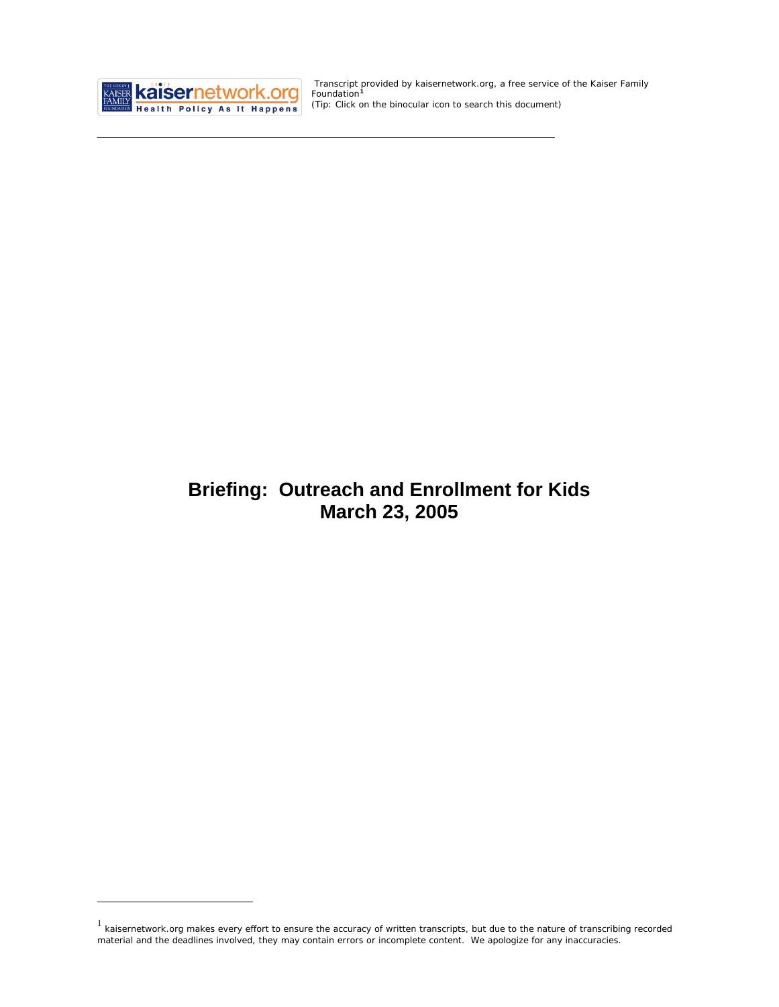

<u>.</u>

 Transcript provided by kaisernetwork.org, a free service of the Kaiser Family Foundation**[1](#page-0-0)** *(Tip: Click on the binocular icon to search this document)* 

# **Briefing: Outreach and Enrollment for Kids March 23, 2005**

<span id="page-0-0"></span><sup>&</sup>lt;sup>1</sup> kaisernetwork.org makes every effort to ensure the accuracy of written transcripts, but due to the nature of transcribing recorded material and the deadlines involved, they may contain errors or incomplete content. We apologize for any inaccuracies.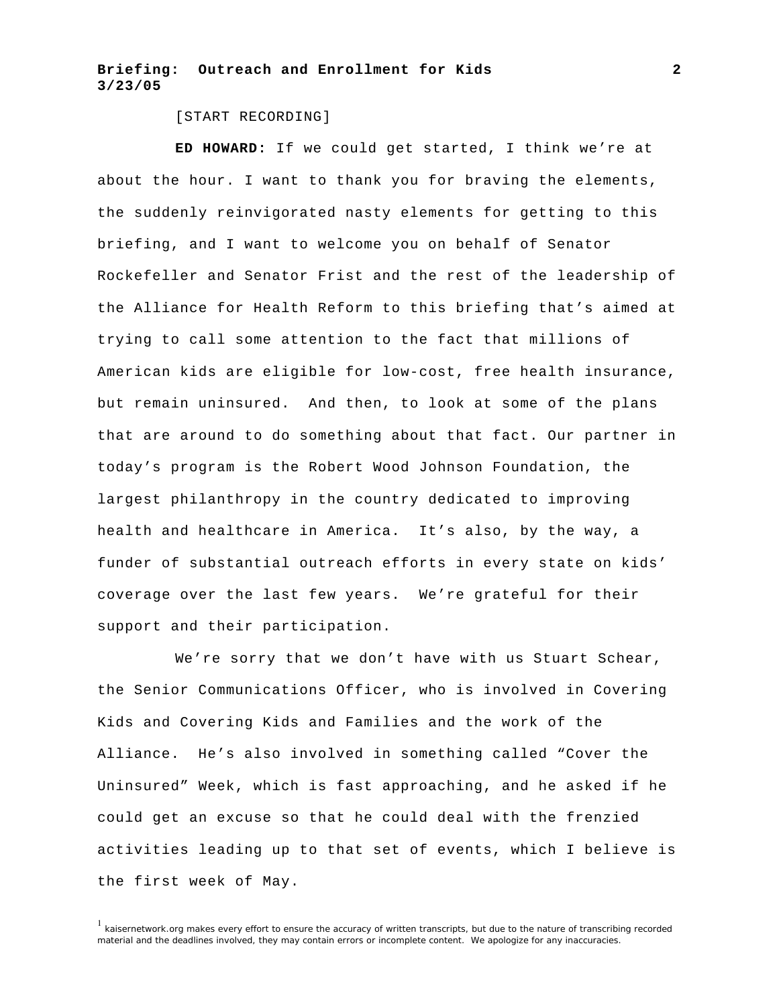[START RECORDING]

**ED HOWARD:** If we could get started, I think we're at about the hour. I want to thank you for braving the elements, the suddenly reinvigorated nasty elements for getting to this briefing, and I want to welcome you on behalf of Senator Rockefeller and Senator Frist and the rest of the leadership of the Alliance for Health Reform to this briefing that's aimed at trying to call some attention to the fact that millions of American kids are eligible for low-cost, free health insurance, but remain uninsured. And then, to look at some of the plans that are around to do something about that fact. Our partner in today's program is the Robert Wood Johnson Foundation, the largest philanthropy in the country dedicated to improving health and healthcare in America. It's also, by the way, a funder of substantial outreach efforts in every state on kids' coverage over the last few years. We're grateful for their support and their participation.

We're sorry that we don't have with us Stuart Schear, the Senior Communications Officer, who is involved in Covering Kids and Covering Kids and Families and the work of the Alliance. He's also involved in something called "Cover the Uninsured" Week, which is fast approaching, and he asked if he could get an excuse so that he could deal with the frenzied activities leading up to that set of events, which I believe is the first week of May.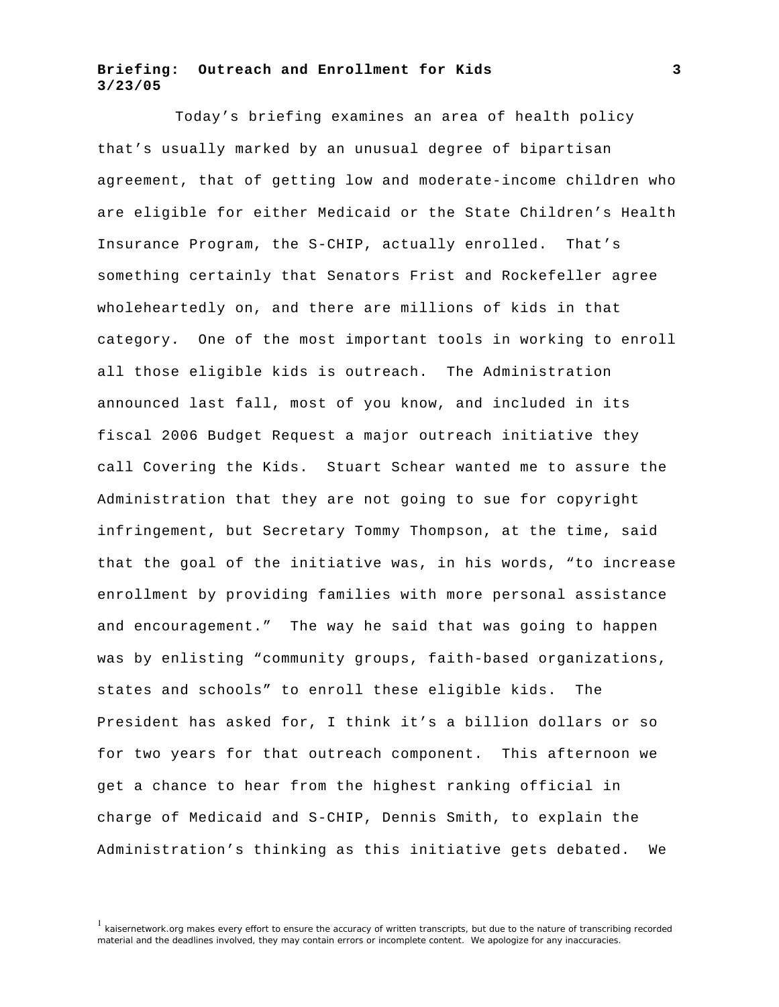Today's briefing examines an area of health policy that's usually marked by an unusual degree of bipartisan agreement, that of getting low and moderate-income children who are eligible for either Medicaid or the State Children's Health Insurance Program, the S-CHIP, actually enrolled. That's something certainly that Senators Frist and Rockefeller agree wholeheartedly on, and there are millions of kids in that category. One of the most important tools in working to enroll all those eligible kids is outreach. The Administration announced last fall, most of you know, and included in its fiscal 2006 Budget Request a major outreach initiative they call Covering the Kids. Stuart Schear wanted me to assure the Administration that they are not going to sue for copyright infringement, but Secretary Tommy Thompson, at the time, said that the goal of the initiative was, in his words, "to increase enrollment by providing families with more personal assistance and encouragement." The way he said that was going to happen was by enlisting "community groups, faith-based organizations, states and schools" to enroll these eligible kids. The President has asked for, I think it's a billion dollars or so for two years for that outreach component. This afternoon we get a chance to hear from the highest ranking official in charge of Medicaid and S-CHIP, Dennis Smith, to explain the Administration's thinking as this initiative gets debated. We

<sup>&</sup>lt;sup>1</sup> kaisernetwork.org makes every effort to ensure the accuracy of written transcripts, but due to the nature of transcribing recorded material and the deadlines involved, they may contain errors or incomplete content. We apologize for any inaccuracies.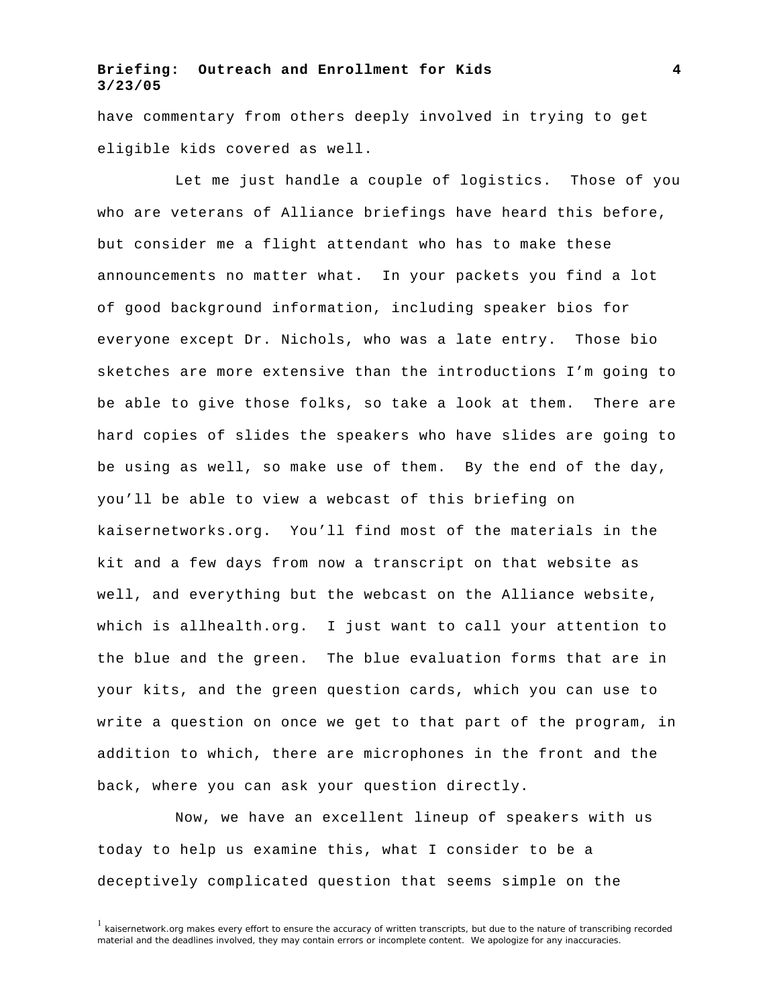have commentary from others deeply involved in trying to get eligible kids covered as well.

Let me just handle a couple of logistics. Those of you who are veterans of Alliance briefings have heard this before, but consider me a flight attendant who has to make these announcements no matter what. In your packets you find a lot of good background information, including speaker bios for everyone except Dr. Nichols, who was a late entry. Those bio sketches are more extensive than the introductions I'm going to be able to give those folks, so take a look at them. There are hard copies of slides the speakers who have slides are going to be using as well, so make use of them. By the end of the day, you'll be able to view a webcast of this briefing on kaisernetworks.org. You'll find most of the materials in the kit and a few days from now a transcript on that website as well, and everything but the webcast on the Alliance website, which is allhealth.org. I just want to call your attention to the blue and the green. The blue evaluation forms that are in your kits, and the green question cards, which you can use to write a question on once we get to that part of the program, in addition to which, there are microphones in the front and the back, where you can ask your question directly.

Now, we have an excellent lineup of speakers with us today to help us examine this, what I consider to be a deceptively complicated question that seems simple on the

 $<sup>1</sup>$  kaisernetwork.org makes every effort to ensure the accuracy of written transcripts, but due to the nature of transcribing recorded</sup> material and the deadlines involved, they may contain errors or incomplete content. We apologize for any inaccuracies.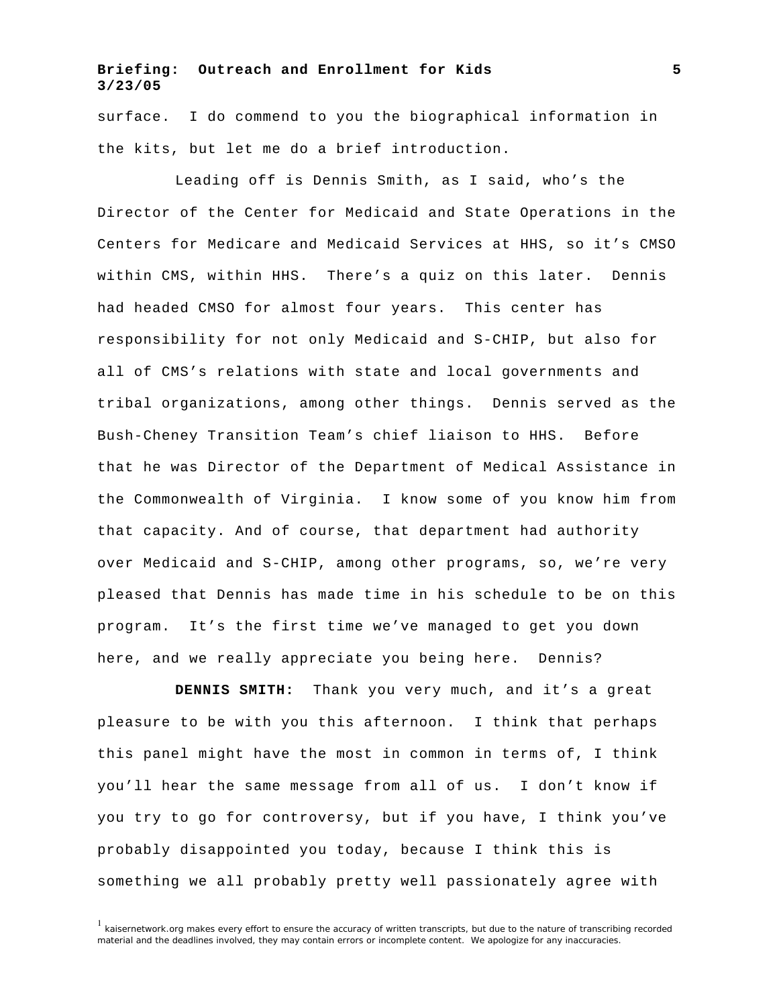surface. I do commend to you the biographical information in the kits, but let me do a brief introduction.

Leading off is Dennis Smith, as I said, who's the Director of the Center for Medicaid and State Operations in the Centers for Medicare and Medicaid Services at HHS, so it's CMSO within CMS, within HHS. There's a quiz on this later. Dennis had headed CMSO for almost four years. This center has responsibility for not only Medicaid and S-CHIP, but also for all of CMS's relations with state and local governments and tribal organizations, among other things. Dennis served as the Bush-Cheney Transition Team's chief liaison to HHS. Before that he was Director of the Department of Medical Assistance in the Commonwealth of Virginia. I know some of you know him from that capacity. And of course, that department had authority over Medicaid and S-CHIP, among other programs, so, we're very pleased that Dennis has made time in his schedule to be on this program. It's the first time we've managed to get you down here, and we really appreciate you being here. Dennis?

**DENNIS SMITH:** Thank you very much, and it's a great pleasure to be with you this afternoon. I think that perhaps this panel might have the most in common in terms of, I think you'll hear the same message from all of us. I don't know if you try to go for controversy, but if you have, I think you've probably disappointed you today, because I think this is something we all probably pretty well passionately agree with

 $1$  kaisernetwork.org makes every effort to ensure the accuracy of written transcripts, but due to the nature of transcribing recorded material and the deadlines involved, they may contain errors or incomplete content. We apologize for any inaccuracies.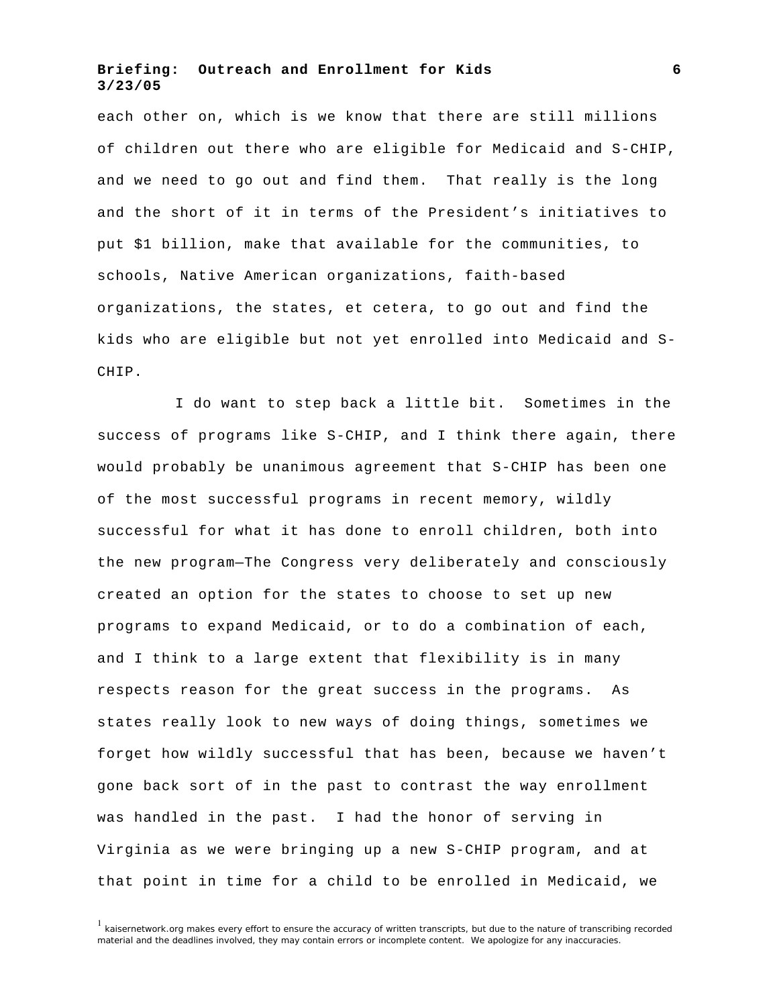each other on, which is we know that there are still millions of children out there who are eligible for Medicaid and S-CHIP, and we need to go out and find them. That really is the long and the short of it in terms of the President's initiatives to put \$1 billion, make that available for the communities, to schools, Native American organizations, faith-based organizations, the states, et cetera, to go out and find the kids who are eligible but not yet enrolled into Medicaid and S-CHIP.

I do want to step back a little bit. Sometimes in the success of programs like S-CHIP, and I think there again, there would probably be unanimous agreement that S-CHIP has been one of the most successful programs in recent memory, wildly successful for what it has done to enroll children, both into the new program—The Congress very deliberately and consciously created an option for the states to choose to set up new programs to expand Medicaid, or to do a combination of each, and I think to a large extent that flexibility is in many respects reason for the great success in the programs. As states really look to new ways of doing things, sometimes we forget how wildly successful that has been, because we haven't gone back sort of in the past to contrast the way enrollment was handled in the past. I had the honor of serving in Virginia as we were bringing up a new S-CHIP program, and at that point in time for a child to be enrolled in Medicaid, we

 $<sup>1</sup>$  kaisernetwork.org makes every effort to ensure the accuracy of written transcripts, but due to the nature of transcribing recorded</sup> material and the deadlines involved, they may contain errors or incomplete content. We apologize for any inaccuracies.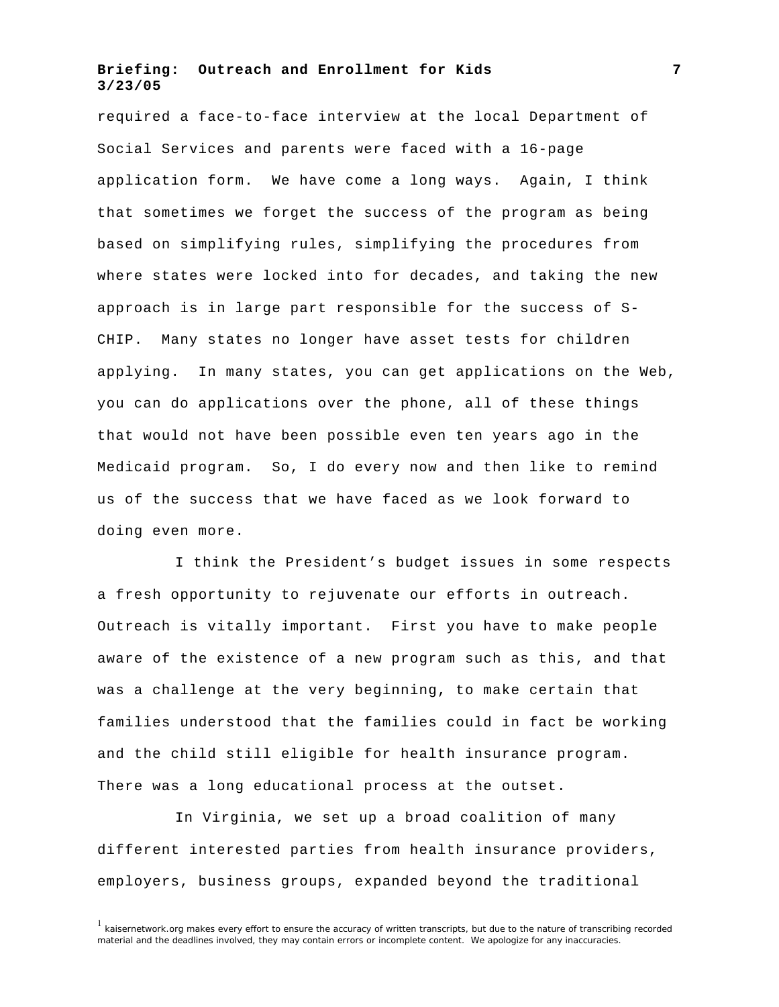required a face-to-face interview at the local Department of Social Services and parents were faced with a 16-page application form. We have come a long ways. Again, I think that sometimes we forget the success of the program as being based on simplifying rules, simplifying the procedures from where states were locked into for decades, and taking the new approach is in large part responsible for the success of S-CHIP. Many states no longer have asset tests for children applying. In many states, you can get applications on the Web, you can do applications over the phone, all of these things that would not have been possible even ten years ago in the Medicaid program. So, I do every now and then like to remind us of the success that we have faced as we look forward to doing even more.

I think the President's budget issues in some respects a fresh opportunity to rejuvenate our efforts in outreach. Outreach is vitally important. First you have to make people aware of the existence of a new program such as this, and that was a challenge at the very beginning, to make certain that families understood that the families could in fact be working and the child still eligible for health insurance program. There was a long educational process at the outset.

In Virginia, we set up a broad coalition of many different interested parties from health insurance providers, employers, business groups, expanded beyond the traditional

 $1$  kaisernetwork.org makes every effort to ensure the accuracy of written transcripts, but due to the nature of transcribing recorded material and the deadlines involved, they may contain errors or incomplete content. We apologize for any inaccuracies.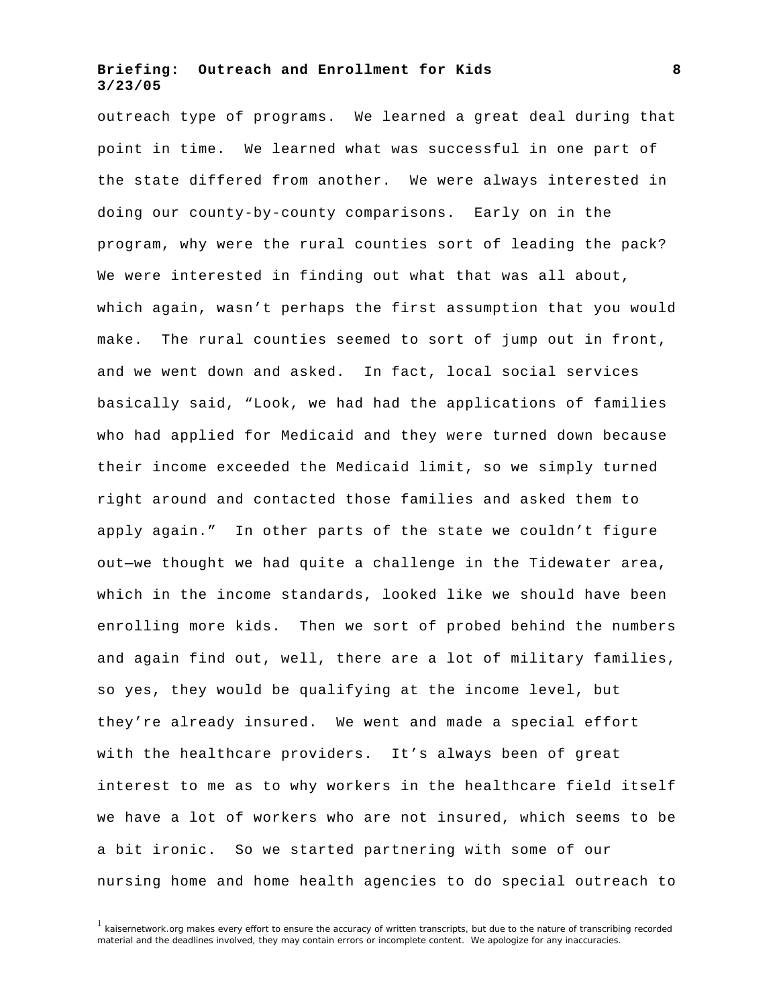outreach type of programs. We learned a great deal during that point in time. We learned what was successful in one part of the state differed from another. We were always interested in doing our county-by-county comparisons. Early on in the program, why were the rural counties sort of leading the pack? We were interested in finding out what that was all about, which again, wasn't perhaps the first assumption that you would make. The rural counties seemed to sort of jump out in front, and we went down and asked. In fact, local social services basically said, "Look, we had had the applications of families who had applied for Medicaid and they were turned down because their income exceeded the Medicaid limit, so we simply turned right around and contacted those families and asked them to apply again." In other parts of the state we couldn't figure out—we thought we had quite a challenge in the Tidewater area, which in the income standards, looked like we should have been enrolling more kids. Then we sort of probed behind the numbers and again find out, well, there are a lot of military families, so yes, they would be qualifying at the income level, but they're already insured. We went and made a special effort with the healthcare providers. It's always been of great interest to me as to why workers in the healthcare field itself we have a lot of workers who are not insured, which seems to be a bit ironic. So we started partnering with some of our nursing home and home health agencies to do special outreach to

 $1$  kaisernetwork.org makes every effort to ensure the accuracy of written transcripts, but due to the nature of transcribing recorded material and the deadlines involved, they may contain errors or incomplete content. We apologize for any inaccuracies.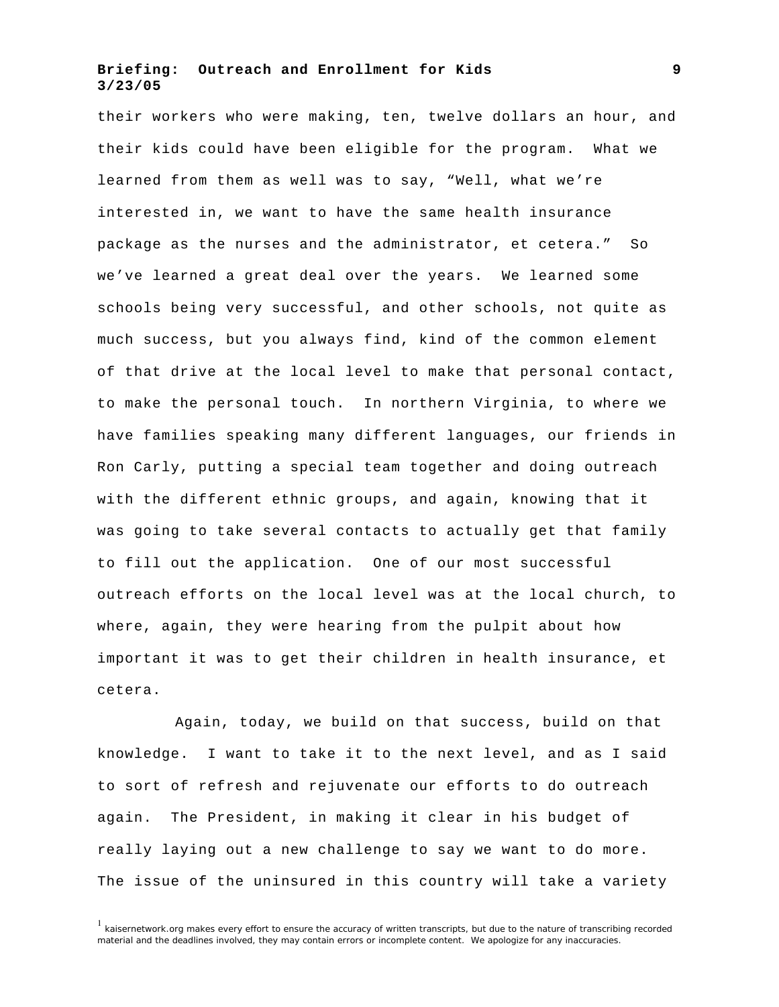their workers who were making, ten, twelve dollars an hour, and their kids could have been eligible for the program. What we learned from them as well was to say, "Well, what we're interested in, we want to have the same health insurance package as the nurses and the administrator, et cetera." So we've learned a great deal over the years. We learned some schools being very successful, and other schools, not quite as much success, but you always find, kind of the common element of that drive at the local level to make that personal contact, to make the personal touch. In northern Virginia, to where we have families speaking many different languages, our friends in Ron Carly, putting a special team together and doing outreach with the different ethnic groups, and again, knowing that it was going to take several contacts to actually get that family to fill out the application. One of our most successful outreach efforts on the local level was at the local church, to where, again, they were hearing from the pulpit about how important it was to get their children in health insurance, et cetera.

Again, today, we build on that success, build on that knowledge. I want to take it to the next level, and as I said to sort of refresh and rejuvenate our efforts to do outreach again. The President, in making it clear in his budget of really laying out a new challenge to say we want to do more. The issue of the uninsured in this country will take a variety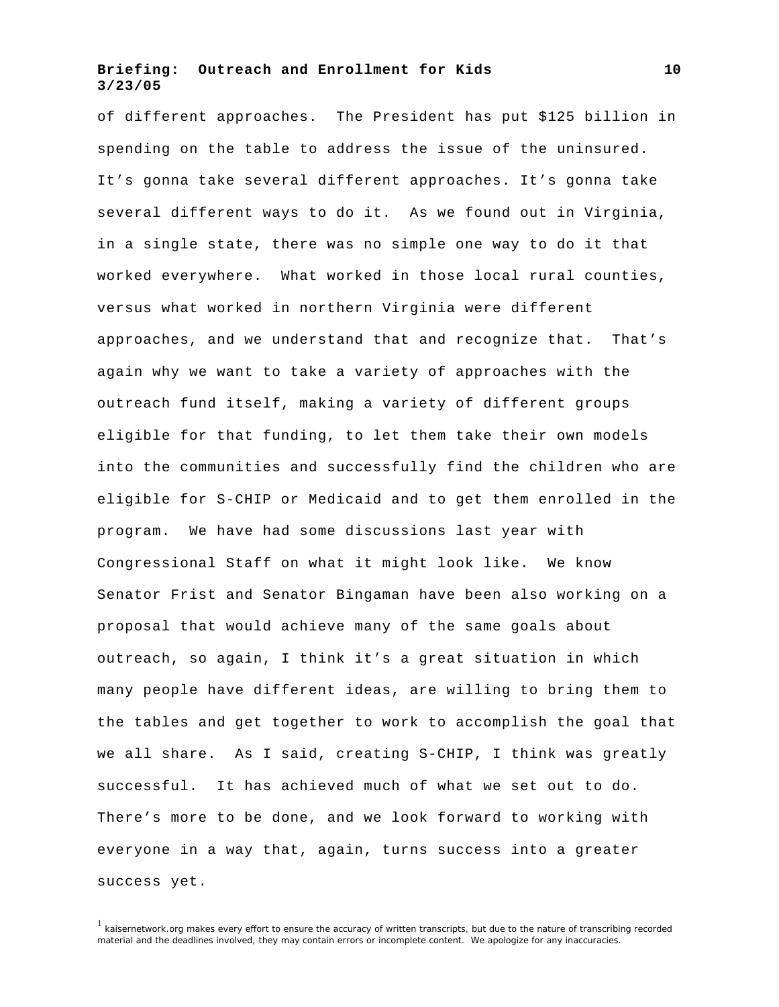of different approaches. The President has put \$125 billion in spending on the table to address the issue of the uninsured. It's gonna take several different approaches. It's gonna take several different ways to do it. As we found out in Virginia, in a single state, there was no simple one way to do it that worked everywhere. What worked in those local rural counties, versus what worked in northern Virginia were different approaches, and we understand that and recognize that. That's again why we want to take a variety of approaches with the outreach fund itself, making a variety of different groups eligible for that funding, to let them take their own models into the communities and successfully find the children who are eligible for S-CHIP or Medicaid and to get them enrolled in the program. We have had some discussions last year with Congressional Staff on what it might look like. We know Senator Frist and Senator Bingaman have been also working on a proposal that would achieve many of the same goals about outreach, so again, I think it's a great situation in which many people have different ideas, are willing to bring them to the tables and get together to work to accomplish the goal that we all share. As I said, creating S-CHIP, I think was greatly successful. It has achieved much of what we set out to do. There's more to be done, and we look forward to working with everyone in a way that, again, turns success into a greater success yet.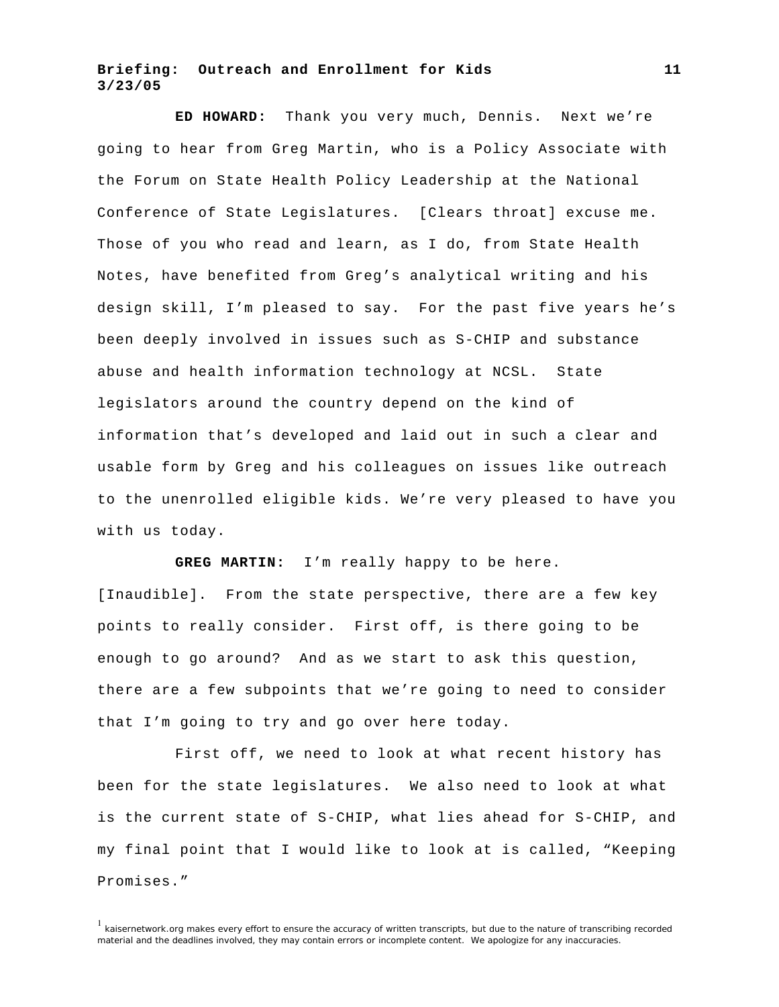**ED HOWARD:** Thank you very much, Dennis. Next we're going to hear from Greg Martin, who is a Policy Associate with the Forum on State Health Policy Leadership at the National Conference of State Legislatures. [Clears throat] excuse me. Those of you who read and learn, as I do, from State Health Notes, have benefited from Greg's analytical writing and his design skill, I'm pleased to say. For the past five years he's been deeply involved in issues such as S-CHIP and substance abuse and health information technology at NCSL. State legislators around the country depend on the kind of information that's developed and laid out in such a clear and usable form by Greg and his colleagues on issues like outreach to the unenrolled eligible kids. We're very pleased to have you with us today.

**GREG MARTIN:** I'm really happy to be here.

[Inaudible]. From the state perspective, there are a few key points to really consider. First off, is there going to be enough to go around? And as we start to ask this question, there are a few subpoints that we're going to need to consider that I'm going to try and go over here today.

First off, we need to look at what recent history has been for the state legislatures. We also need to look at what is the current state of S-CHIP, what lies ahead for S-CHIP, and my final point that I would like to look at is called, "Keeping Promises."

 $1$  kaisernetwork.org makes every effort to ensure the accuracy of written transcripts, but due to the nature of transcribing recorded material and the deadlines involved, they may contain errors or incomplete content. We apologize for any inaccuracies.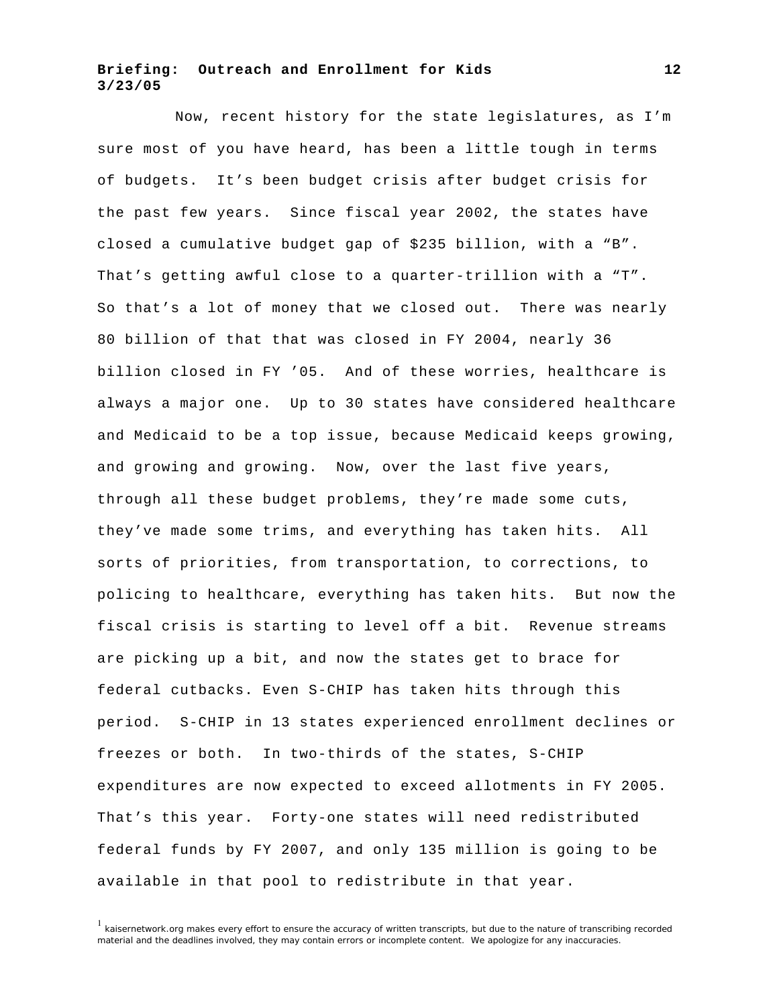Now, recent history for the state legislatures, as I'm sure most of you have heard, has been a little tough in terms of budgets. It's been budget crisis after budget crisis for the past few years. Since fiscal year 2002, the states have closed a cumulative budget gap of \$235 billion, with a "B". That's getting awful close to a quarter-trillion with a "T". So that's a lot of money that we closed out. There was nearly 80 billion of that that was closed in FY 2004, nearly 36 billion closed in FY '05. And of these worries, healthcare is always a major one. Up to 30 states have considered healthcare and Medicaid to be a top issue, because Medicaid keeps growing, and growing and growing. Now, over the last five years, through all these budget problems, they're made some cuts, they've made some trims, and everything has taken hits. All sorts of priorities, from transportation, to corrections, to policing to healthcare, everything has taken hits. But now the fiscal crisis is starting to level off a bit. Revenue streams are picking up a bit, and now the states get to brace for federal cutbacks. Even S-CHIP has taken hits through this period. S-CHIP in 13 states experienced enrollment declines or freezes or both. In two-thirds of the states, S-CHIP expenditures are now expected to exceed allotments in FY 2005. That's this year. Forty-one states will need redistributed federal funds by FY 2007, and only 135 million is going to be available in that pool to redistribute in that year.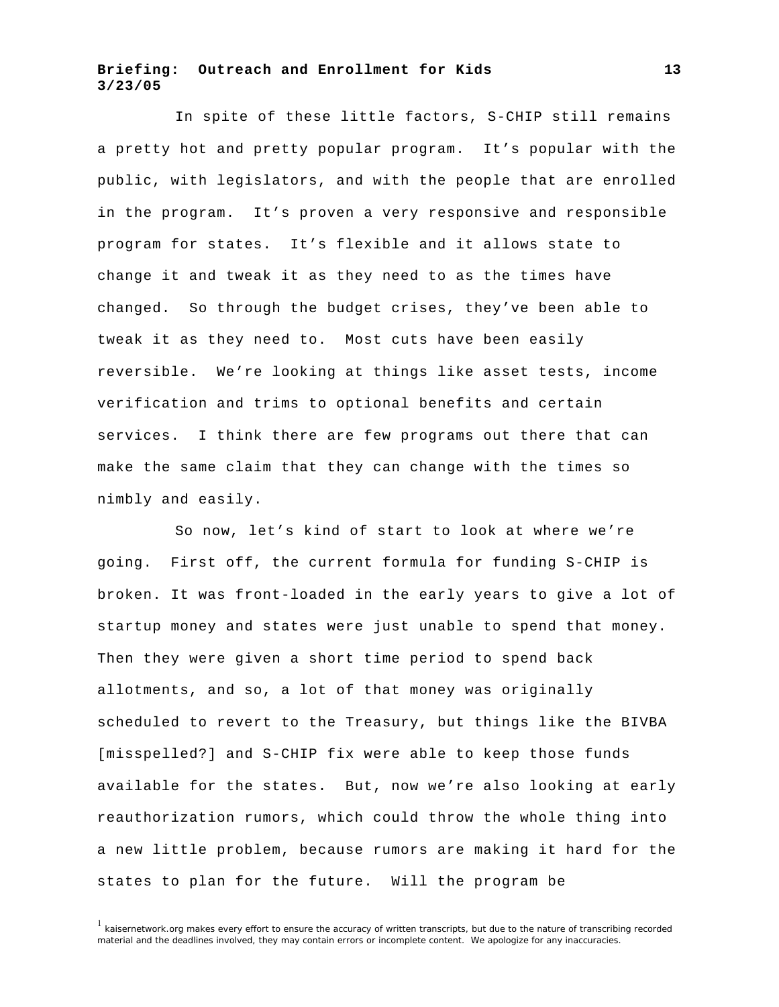In spite of these little factors, S-CHIP still remains a pretty hot and pretty popular program. It's popular with the public, with legislators, and with the people that are enrolled in the program. It's proven a very responsive and responsible program for states. It's flexible and it allows state to change it and tweak it as they need to as the times have changed. So through the budget crises, they've been able to tweak it as they need to. Most cuts have been easily reversible. We're looking at things like asset tests, income verification and trims to optional benefits and certain services. I think there are few programs out there that can make the same claim that they can change with the times so nimbly and easily.

So now, let's kind of start to look at where we're going. First off, the current formula for funding S-CHIP is broken. It was front-loaded in the early years to give a lot of startup money and states were just unable to spend that money. Then they were given a short time period to spend back allotments, and so, a lot of that money was originally scheduled to revert to the Treasury, but things like the BIVBA [misspelled?] and S-CHIP fix were able to keep those funds available for the states. But, now we're also looking at early reauthorization rumors, which could throw the whole thing into a new little problem, because rumors are making it hard for the states to plan for the future. Will the program be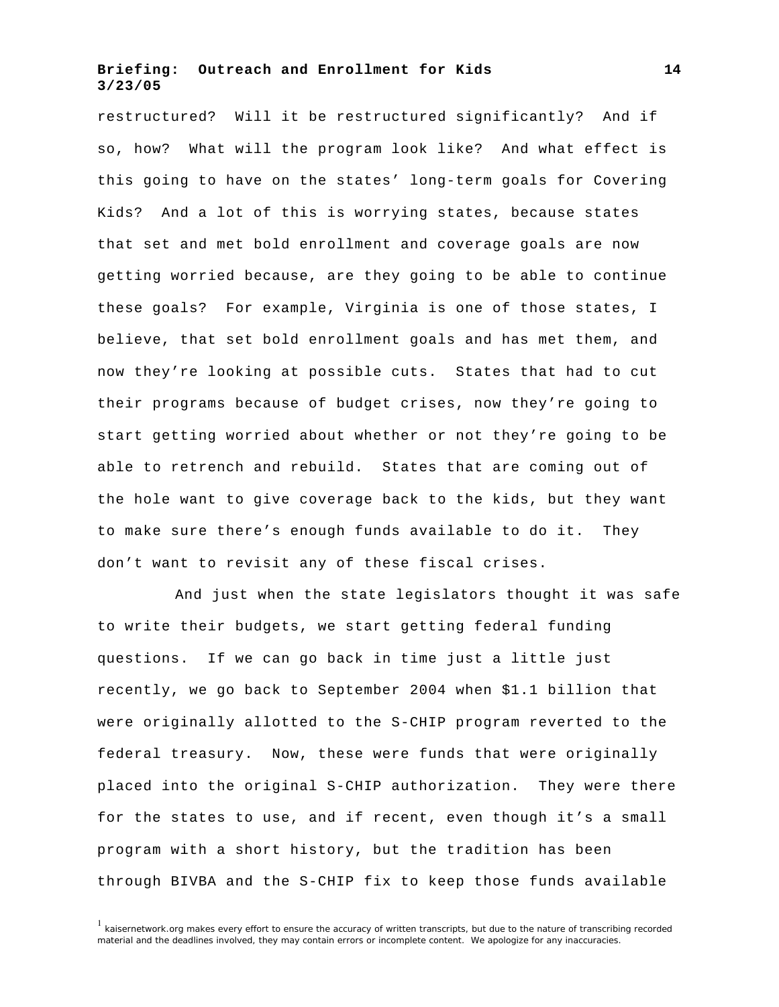restructured? Will it be restructured significantly? And if so, how? What will the program look like? And what effect is this going to have on the states' long-term goals for Covering Kids? And a lot of this is worrying states, because states that set and met bold enrollment and coverage goals are now getting worried because, are they going to be able to continue these goals? For example, Virginia is one of those states, I believe, that set bold enrollment goals and has met them, and now they're looking at possible cuts. States that had to cut their programs because of budget crises, now they're going to start getting worried about whether or not they're going to be able to retrench and rebuild. States that are coming out of the hole want to give coverage back to the kids, but they want to make sure there's enough funds available to do it. They don't want to revisit any of these fiscal crises.

And just when the state legislators thought it was safe to write their budgets, we start getting federal funding questions. If we can go back in time just a little just recently, we go back to September 2004 when \$1.1 billion that were originally allotted to the S-CHIP program reverted to the federal treasury. Now, these were funds that were originally placed into the original S-CHIP authorization. They were there for the states to use, and if recent, even though it's a small program with a short history, but the tradition has been through BIVBA and the S-CHIP fix to keep those funds available

 $1$  kaisernetwork.org makes every effort to ensure the accuracy of written transcripts, but due to the nature of transcribing recorded material and the deadlines involved, they may contain errors or incomplete content. We apologize for any inaccuracies.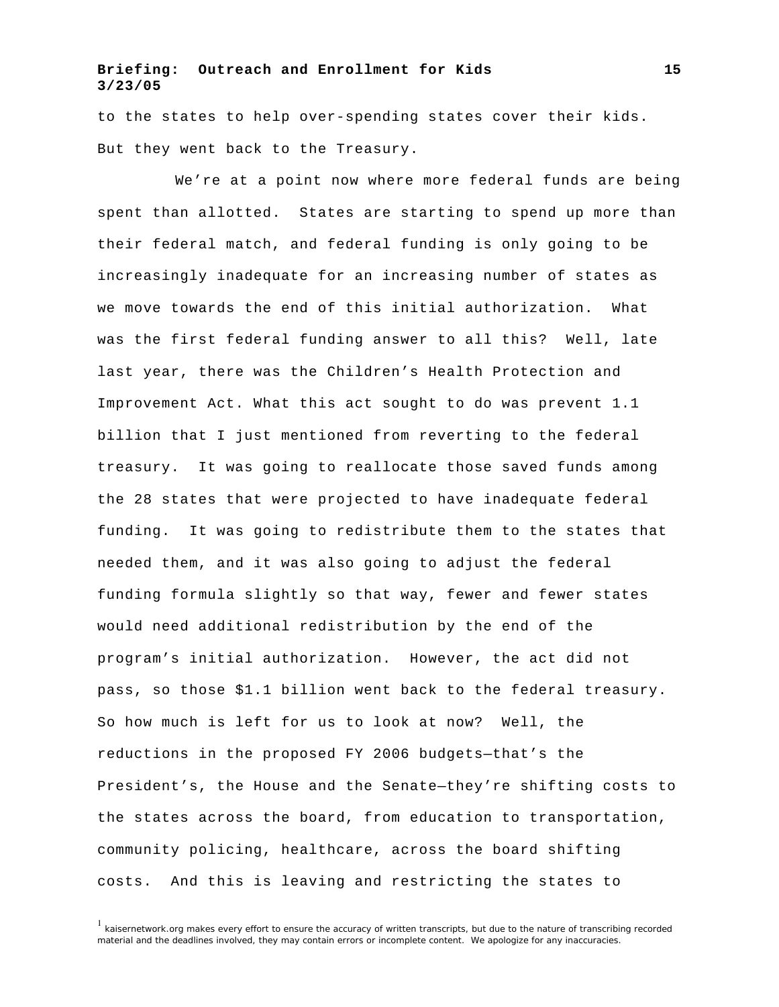to the states to help over-spending states cover their kids. But they went back to the Treasury.

We're at a point now where more federal funds are being spent than allotted. States are starting to spend up more than their federal match, and federal funding is only going to be increasingly inadequate for an increasing number of states as we move towards the end of this initial authorization. What was the first federal funding answer to all this? Well, late last year, there was the Children's Health Protection and Improvement Act. What this act sought to do was prevent 1.1 billion that I just mentioned from reverting to the federal treasury. It was going to reallocate those saved funds among the 28 states that were projected to have inadequate federal funding. It was going to redistribute them to the states that needed them, and it was also going to adjust the federal funding formula slightly so that way, fewer and fewer states would need additional redistribution by the end of the program's initial authorization. However, the act did not pass, so those \$1.1 billion went back to the federal treasury. So how much is left for us to look at now? Well, the reductions in the proposed FY 2006 budgets—that's the President's, the House and the Senate—they're shifting costs to the states across the board, from education to transportation, community policing, healthcare, across the board shifting costs. And this is leaving and restricting the states to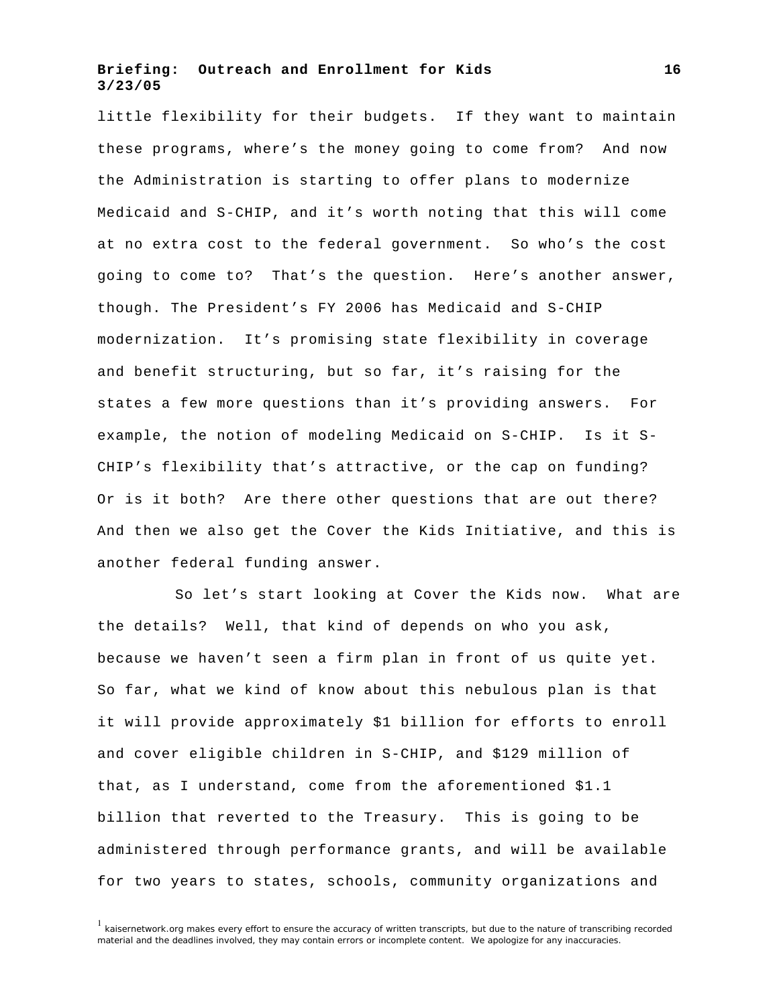little flexibility for their budgets. If they want to maintain these programs, where's the money going to come from? And now the Administration is starting to offer plans to modernize Medicaid and S-CHIP, and it's worth noting that this will come at no extra cost to the federal government. So who's the cost going to come to? That's the question. Here's another answer, though. The President's FY 2006 has Medicaid and S-CHIP modernization. It's promising state flexibility in coverage and benefit structuring, but so far, it's raising for the states a few more questions than it's providing answers. For example, the notion of modeling Medicaid on S-CHIP. Is it S-CHIP's flexibility that's attractive, or the cap on funding? Or is it both? Are there other questions that are out there? And then we also get the Cover the Kids Initiative, and this is another federal funding answer.

So let's start looking at Cover the Kids now. What are the details? Well, that kind of depends on who you ask, because we haven't seen a firm plan in front of us quite yet. So far, what we kind of know about this nebulous plan is that it will provide approximately \$1 billion for efforts to enroll and cover eligible children in S-CHIP, and \$129 million of that, as I understand, come from the aforementioned \$1.1 billion that reverted to the Treasury. This is going to be administered through performance grants, and will be available for two years to states, schools, community organizations and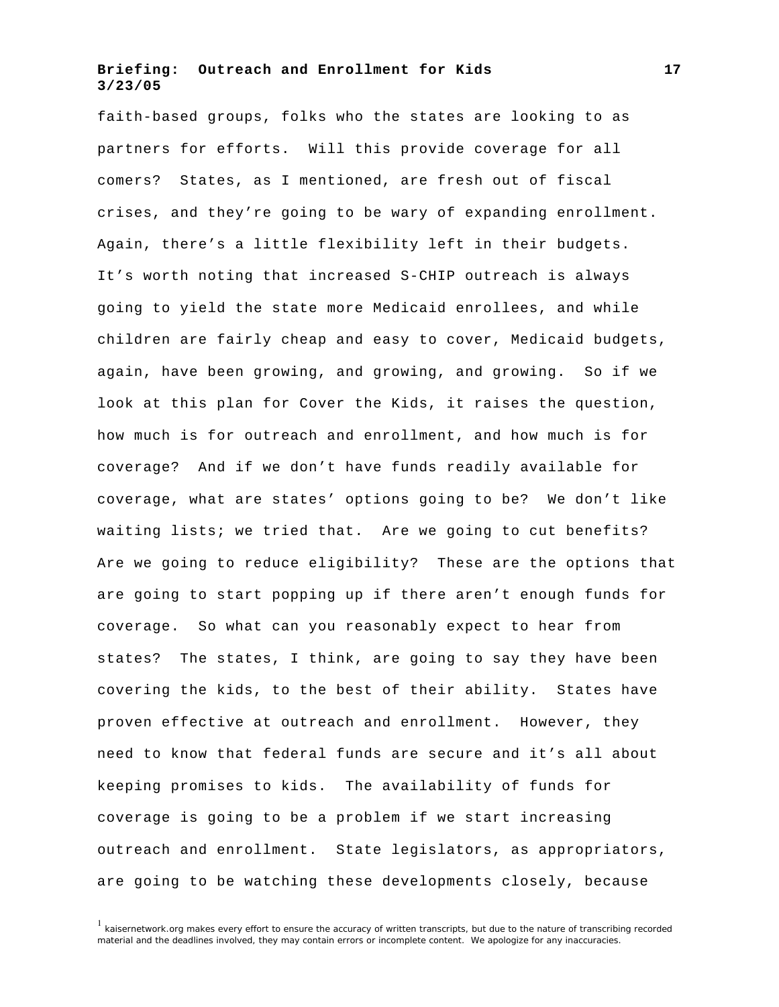faith-based groups, folks who the states are looking to as partners for efforts. Will this provide coverage for all comers? States, as I mentioned, are fresh out of fiscal crises, and they're going to be wary of expanding enrollment. Again, there's a little flexibility left in their budgets. It's worth noting that increased S-CHIP outreach is always going to yield the state more Medicaid enrollees, and while children are fairly cheap and easy to cover, Medicaid budgets, again, have been growing, and growing, and growing. So if we look at this plan for Cover the Kids, it raises the question, how much is for outreach and enrollment, and how much is for coverage? And if we don't have funds readily available for coverage, what are states' options going to be? We don't like waiting lists; we tried that. Are we going to cut benefits? Are we going to reduce eligibility? These are the options that are going to start popping up if there aren't enough funds for coverage. So what can you reasonably expect to hear from states? The states, I think, are going to say they have been covering the kids, to the best of their ability. States have proven effective at outreach and enrollment. However, they need to know that federal funds are secure and it's all about keeping promises to kids. The availability of funds for coverage is going to be a problem if we start increasing outreach and enrollment. State legislators, as appropriators, are going to be watching these developments closely, because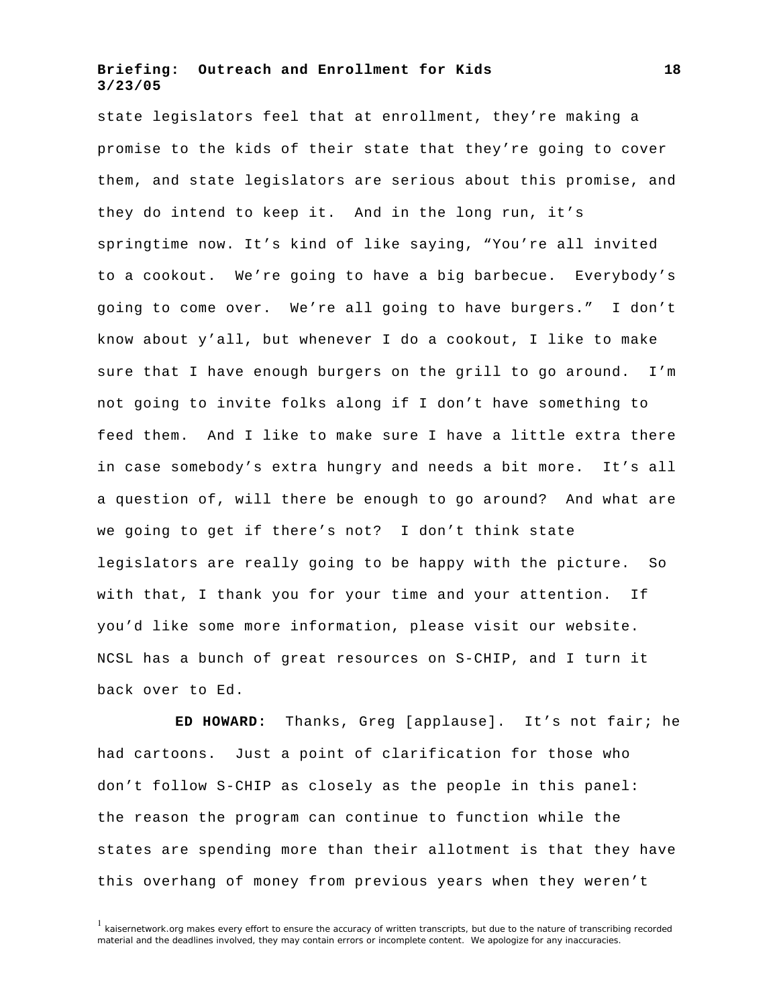state legislators feel that at enrollment, they're making a promise to the kids of their state that they're going to cover them, and state legislators are serious about this promise, and they do intend to keep it. And in the long run, it's springtime now. It's kind of like saying, "You're all invited to a cookout. We're going to have a big barbecue. Everybody's going to come over. We're all going to have burgers." I don't know about y'all, but whenever I do a cookout, I like to make sure that I have enough burgers on the grill to go around. I'm not going to invite folks along if I don't have something to feed them. And I like to make sure I have a little extra there in case somebody's extra hungry and needs a bit more. It's all a question of, will there be enough to go around? And what are we going to get if there's not? I don't think state legislators are really going to be happy with the picture. So with that, I thank you for your time and your attention. If you'd like some more information, please visit our website. NCSL has a bunch of great resources on S-CHIP, and I turn it back over to Ed.

**ED HOWARD:** Thanks, Greg [applause]. It's not fair; he had cartoons. Just a point of clarification for those who don't follow S-CHIP as closely as the people in this panel: the reason the program can continue to function while the states are spending more than their allotment is that they have this overhang of money from previous years when they weren't

 $1$  kaisernetwork.org makes every effort to ensure the accuracy of written transcripts, but due to the nature of transcribing recorded material and the deadlines involved, they may contain errors or incomplete content. We apologize for any inaccuracies.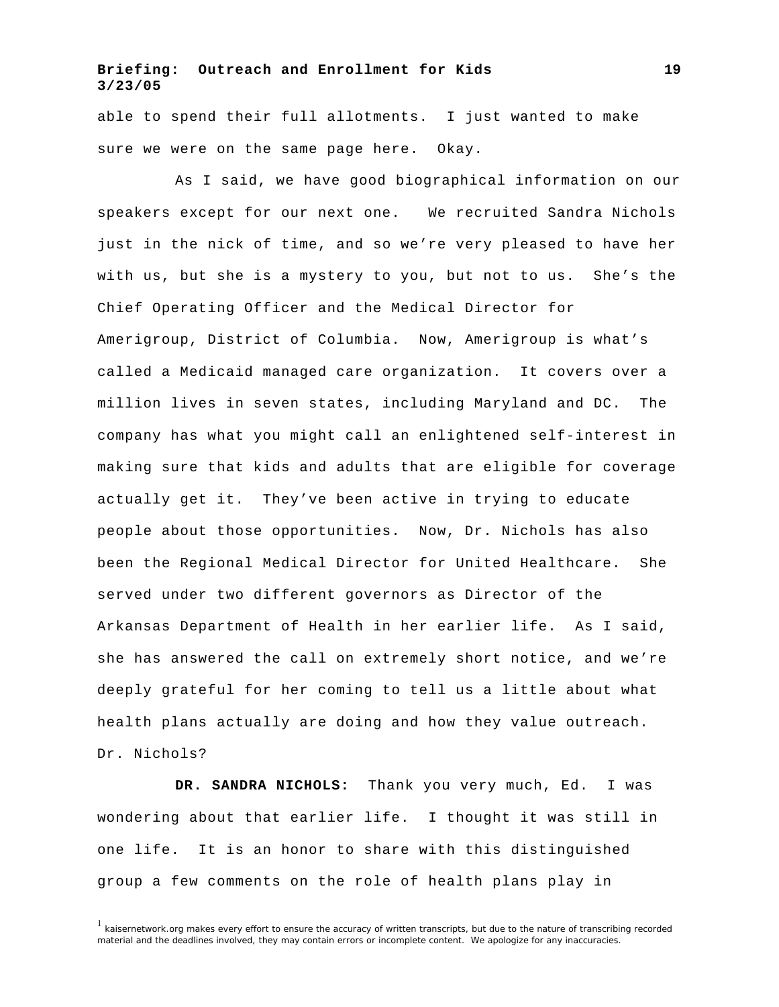able to spend their full allotments. I just wanted to make sure we were on the same page here. Okay.

As I said, we have good biographical information on our speakers except for our next one. We recruited Sandra Nichols just in the nick of time, and so we're very pleased to have her with us, but she is a mystery to you, but not to us. She's the Chief Operating Officer and the Medical Director for Amerigroup, District of Columbia. Now, Amerigroup is what's called a Medicaid managed care organization. It covers over a million lives in seven states, including Maryland and DC. The company has what you might call an enlightened self-interest in making sure that kids and adults that are eligible for coverage actually get it. They've been active in trying to educate people about those opportunities. Now, Dr. Nichols has also been the Regional Medical Director for United Healthcare. She served under two different governors as Director of the Arkansas Department of Health in her earlier life. As I said, she has answered the call on extremely short notice, and we're deeply grateful for her coming to tell us a little about what health plans actually are doing and how they value outreach. Dr. Nichols?

**DR. SANDRA NICHOLS:** Thank you very much, Ed. I was wondering about that earlier life. I thought it was still in one life. It is an honor to share with this distinguished group a few comments on the role of health plans play in

 $1$  kaisernetwork.org makes every effort to ensure the accuracy of written transcripts, but due to the nature of transcribing recorded material and the deadlines involved, they may contain errors or incomplete content. We apologize for any inaccuracies.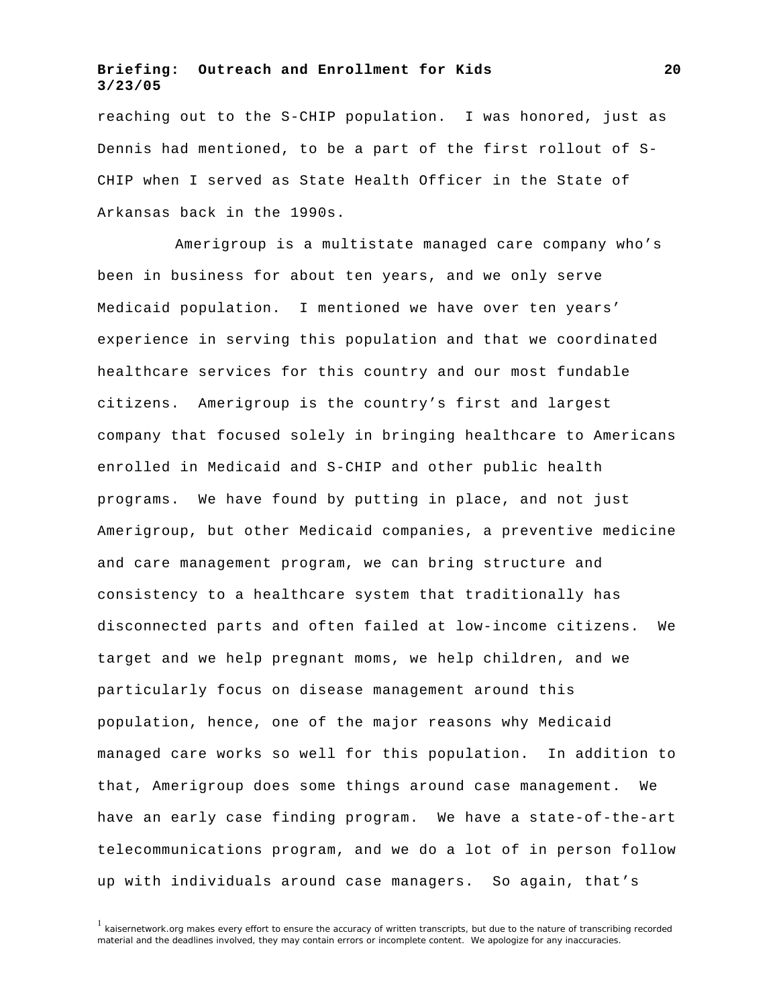reaching out to the S-CHIP population. I was honored, just as Dennis had mentioned, to be a part of the first rollout of S-CHIP when I served as State Health Officer in the State of Arkansas back in the 1990s.

Amerigroup is a multistate managed care company who's been in business for about ten years, and we only serve Medicaid population. I mentioned we have over ten years' experience in serving this population and that we coordinated healthcare services for this country and our most fundable citizens. Amerigroup is the country's first and largest company that focused solely in bringing healthcare to Americans enrolled in Medicaid and S-CHIP and other public health programs. We have found by putting in place, and not just Amerigroup, but other Medicaid companies, a preventive medicine and care management program, we can bring structure and consistency to a healthcare system that traditionally has disconnected parts and often failed at low-income citizens. We target and we help pregnant moms, we help children, and we particularly focus on disease management around this population, hence, one of the major reasons why Medicaid managed care works so well for this population. In addition to that, Amerigroup does some things around case management. We have an early case finding program. We have a state-of-the-art telecommunications program, and we do a lot of in person follow up with individuals around case managers. So again, that's

 $<sup>1</sup>$  kaisernetwork.org makes every effort to ensure the accuracy of written transcripts, but due to the nature of transcribing recorded</sup> material and the deadlines involved, they may contain errors or incomplete content. We apologize for any inaccuracies.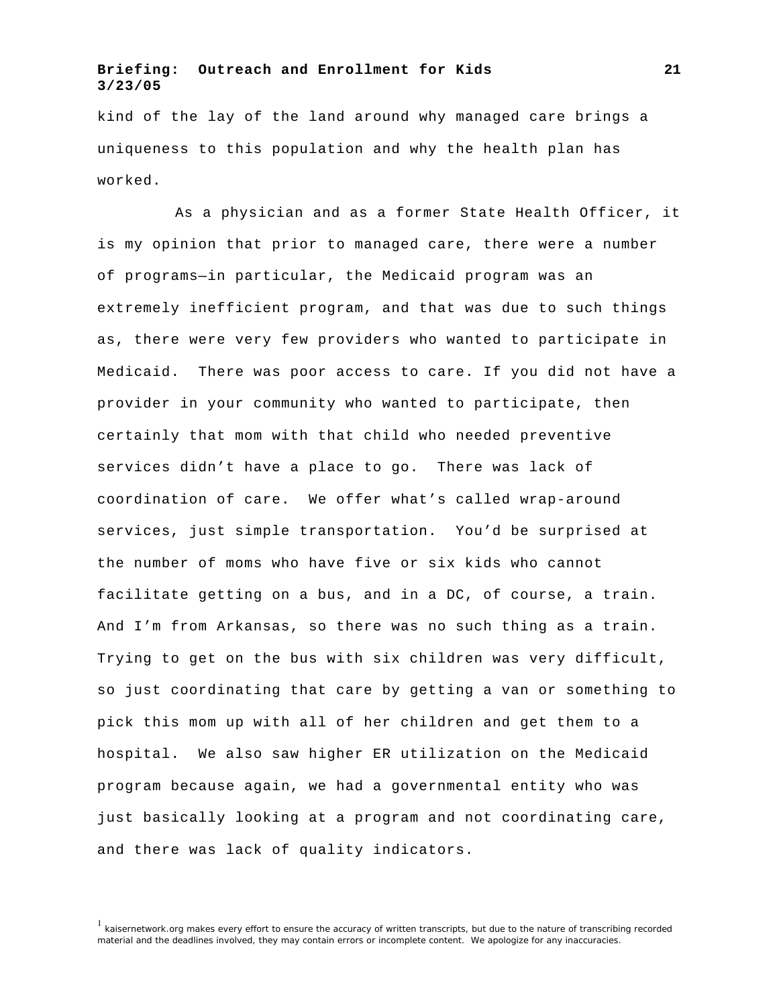kind of the lay of the land around why managed care brings a uniqueness to this population and why the health plan has worked.

As a physician and as a former State Health Officer, it is my opinion that prior to managed care, there were a number of programs—in particular, the Medicaid program was an extremely inefficient program, and that was due to such things as, there were very few providers who wanted to participate in Medicaid. There was poor access to care. If you did not have a provider in your community who wanted to participate, then certainly that mom with that child who needed preventive services didn't have a place to go. There was lack of coordination of care. We offer what's called wrap-around services, just simple transportation. You'd be surprised at the number of moms who have five or six kids who cannot facilitate getting on a bus, and in a DC, of course, a train. And I'm from Arkansas, so there was no such thing as a train. Trying to get on the bus with six children was very difficult, so just coordinating that care by getting a van or something to pick this mom up with all of her children and get them to a hospital. We also saw higher ER utilization on the Medicaid program because again, we had a governmental entity who was just basically looking at a program and not coordinating care, and there was lack of quality indicators.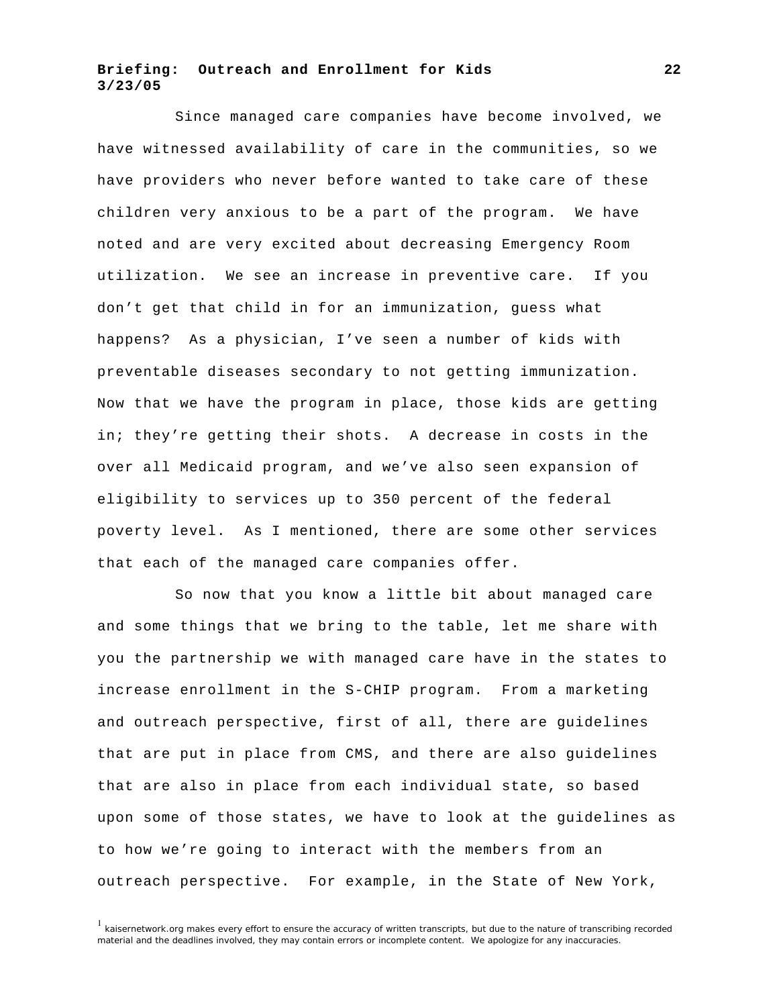Since managed care companies have become involved, we have witnessed availability of care in the communities, so we have providers who never before wanted to take care of these children very anxious to be a part of the program. We have noted and are very excited about decreasing Emergency Room utilization. We see an increase in preventive care. If you don't get that child in for an immunization, guess what happens? As a physician, I've seen a number of kids with preventable diseases secondary to not getting immunization. Now that we have the program in place, those kids are getting in; they're getting their shots. A decrease in costs in the over all Medicaid program, and we've also seen expansion of eligibility to services up to 350 percent of the federal poverty level. As I mentioned, there are some other services that each of the managed care companies offer.

So now that you know a little bit about managed care and some things that we bring to the table, let me share with you the partnership we with managed care have in the states to increase enrollment in the S-CHIP program. From a marketing and outreach perspective, first of all, there are guidelines that are put in place from CMS, and there are also guidelines that are also in place from each individual state, so based upon some of those states, we have to look at the guidelines as to how we're going to interact with the members from an outreach perspective. For example, in the State of New York,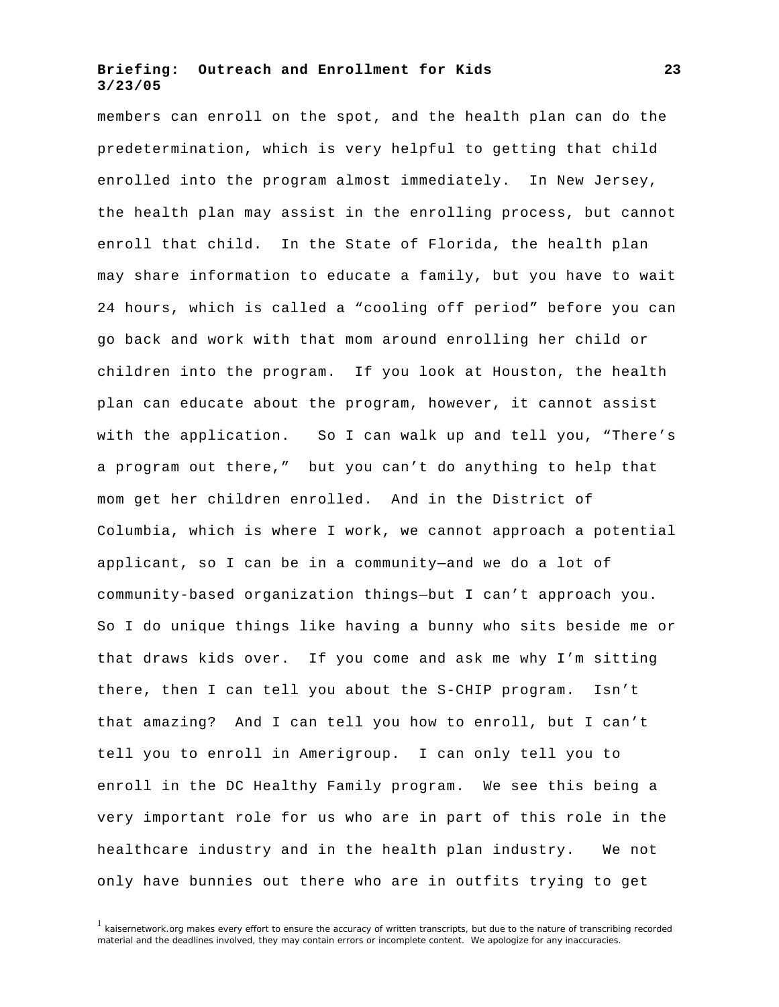members can enroll on the spot, and the health plan can do the predetermination, which is very helpful to getting that child enrolled into the program almost immediately. In New Jersey, the health plan may assist in the enrolling process, but cannot enroll that child. In the State of Florida, the health plan may share information to educate a family, but you have to wait 24 hours, which is called a "cooling off period" before you can go back and work with that mom around enrolling her child or children into the program. If you look at Houston, the health plan can educate about the program, however, it cannot assist with the application. So I can walk up and tell you, "There's a program out there," but you can't do anything to help that mom get her children enrolled. And in the District of Columbia, which is where I work, we cannot approach a potential applicant, so I can be in a community—and we do a lot of community-based organization things—but I can't approach you. So I do unique things like having a bunny who sits beside me or that draws kids over. If you come and ask me why I'm sitting there, then I can tell you about the S-CHIP program. Isn't that amazing? And I can tell you how to enroll, but I can't tell you to enroll in Amerigroup. I can only tell you to enroll in the DC Healthy Family program. We see this being a very important role for us who are in part of this role in the healthcare industry and in the health plan industry. We not only have bunnies out there who are in outfits trying to get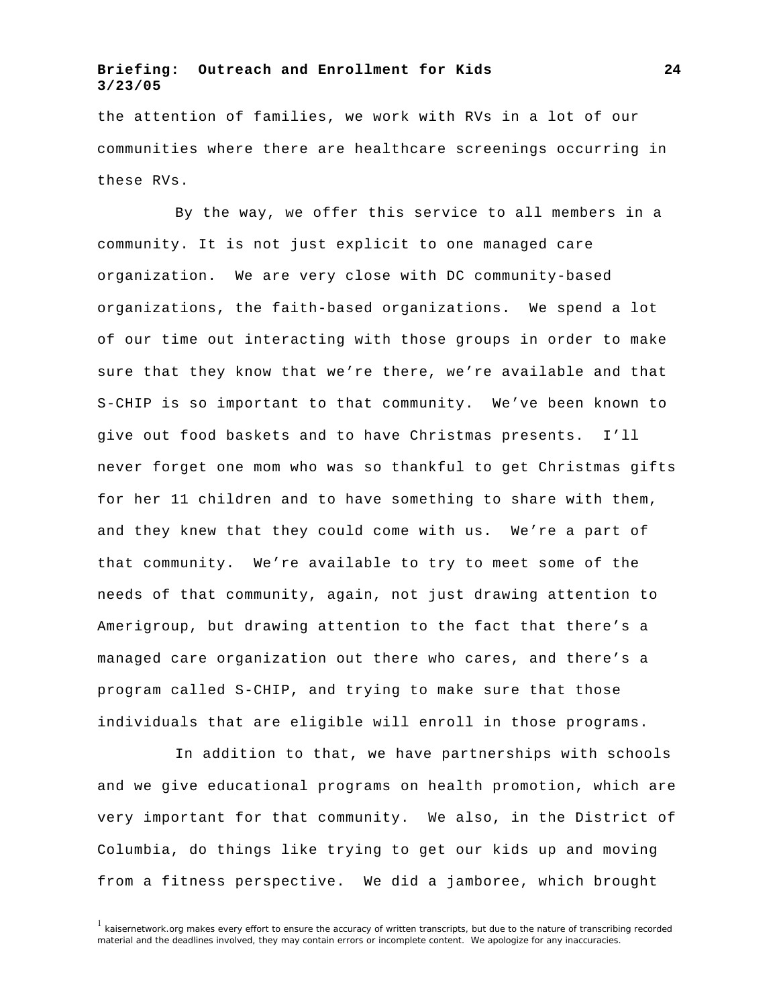the attention of families, we work with RVs in a lot of our communities where there are healthcare screenings occurring in these RVs.

By the way, we offer this service to all members in a community. It is not just explicit to one managed care organization. We are very close with DC community-based organizations, the faith-based organizations. We spend a lot of our time out interacting with those groups in order to make sure that they know that we're there, we're available and that S-CHIP is so important to that community. We've been known to give out food baskets and to have Christmas presents. I'll never forget one mom who was so thankful to get Christmas gifts for her 11 children and to have something to share with them, and they knew that they could come with us. We're a part of that community. We're available to try to meet some of the needs of that community, again, not just drawing attention to Amerigroup, but drawing attention to the fact that there's a managed care organization out there who cares, and there's a program called S-CHIP, and trying to make sure that those individuals that are eligible will enroll in those programs.

In addition to that, we have partnerships with schools and we give educational programs on health promotion, which are very important for that community. We also, in the District of Columbia, do things like trying to get our kids up and moving from a fitness perspective. We did a jamboree, which brought

 $1$  kaisernetwork.org makes every effort to ensure the accuracy of written transcripts, but due to the nature of transcribing recorded material and the deadlines involved, they may contain errors or incomplete content. We apologize for any inaccuracies.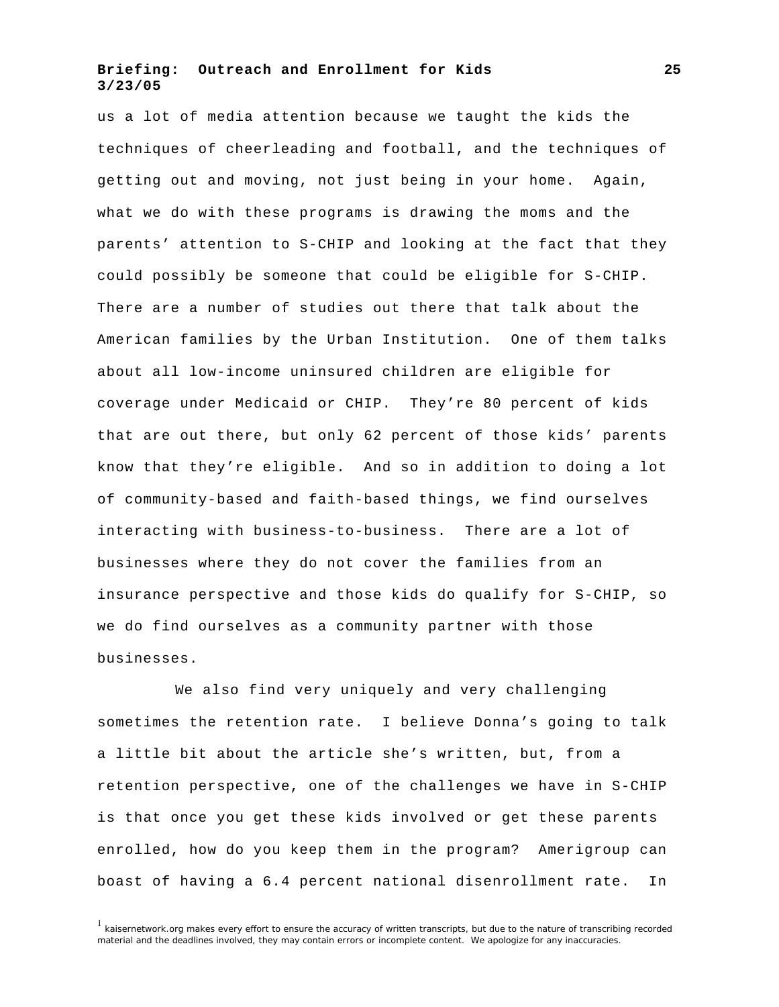us a lot of media attention because we taught the kids the techniques of cheerleading and football, and the techniques of getting out and moving, not just being in your home. Again, what we do with these programs is drawing the moms and the parents' attention to S-CHIP and looking at the fact that they could possibly be someone that could be eligible for S-CHIP. There are a number of studies out there that talk about the American families by the Urban Institution. One of them talks about all low-income uninsured children are eligible for coverage under Medicaid or CHIP. They're 80 percent of kids that are out there, but only 62 percent of those kids' parents know that they're eligible. And so in addition to doing a lot of community-based and faith-based things, we find ourselves interacting with business-to-business. There are a lot of businesses where they do not cover the families from an insurance perspective and those kids do qualify for S-CHIP, so we do find ourselves as a community partner with those businesses.

We also find very uniquely and very challenging sometimes the retention rate. I believe Donna's going to talk a little bit about the article she's written, but, from a retention perspective, one of the challenges we have in S-CHIP is that once you get these kids involved or get these parents enrolled, how do you keep them in the program? Amerigroup can boast of having a 6.4 percent national disenrollment rate. In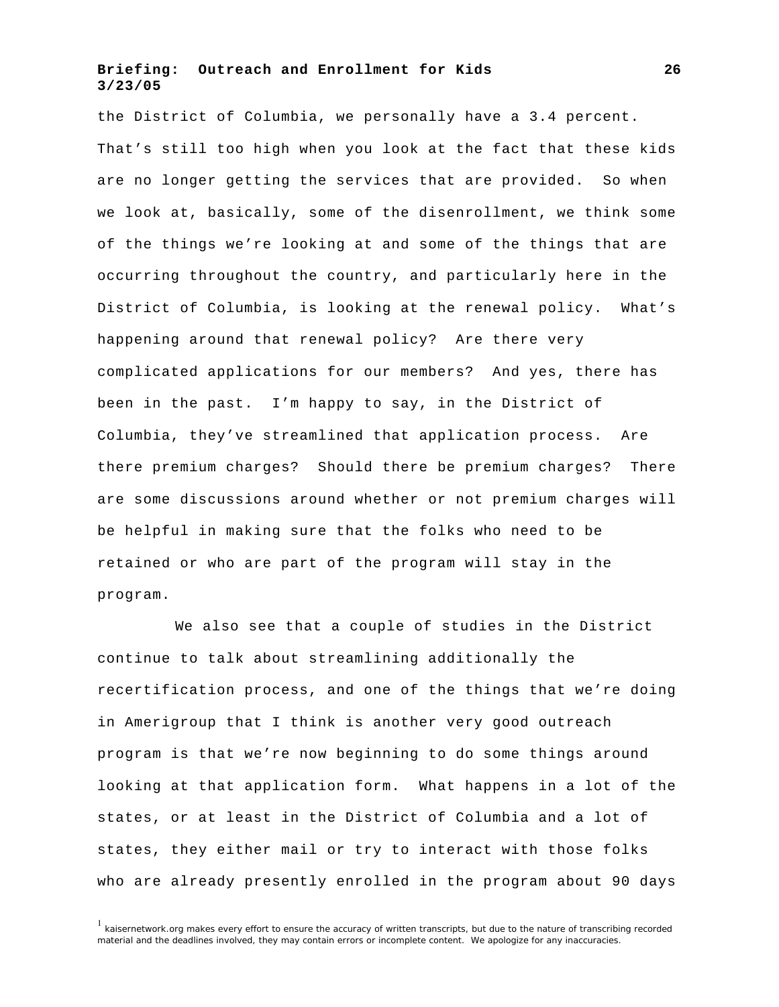the District of Columbia, we personally have a 3.4 percent. That's still too high when you look at the fact that these kids are no longer getting the services that are provided. So when we look at, basically, some of the disenrollment, we think some of the things we're looking at and some of the things that are occurring throughout the country, and particularly here in the District of Columbia, is looking at the renewal policy. What's happening around that renewal policy? Are there very complicated applications for our members? And yes, there has been in the past. I'm happy to say, in the District of Columbia, they've streamlined that application process. Are there premium charges? Should there be premium charges? There are some discussions around whether or not premium charges will be helpful in making sure that the folks who need to be retained or who are part of the program will stay in the program.

We also see that a couple of studies in the District continue to talk about streamlining additionally the recertification process, and one of the things that we're doing in Amerigroup that I think is another very good outreach program is that we're now beginning to do some things around looking at that application form. What happens in a lot of the states, or at least in the District of Columbia and a lot of states, they either mail or try to interact with those folks who are already presently enrolled in the program about 90 days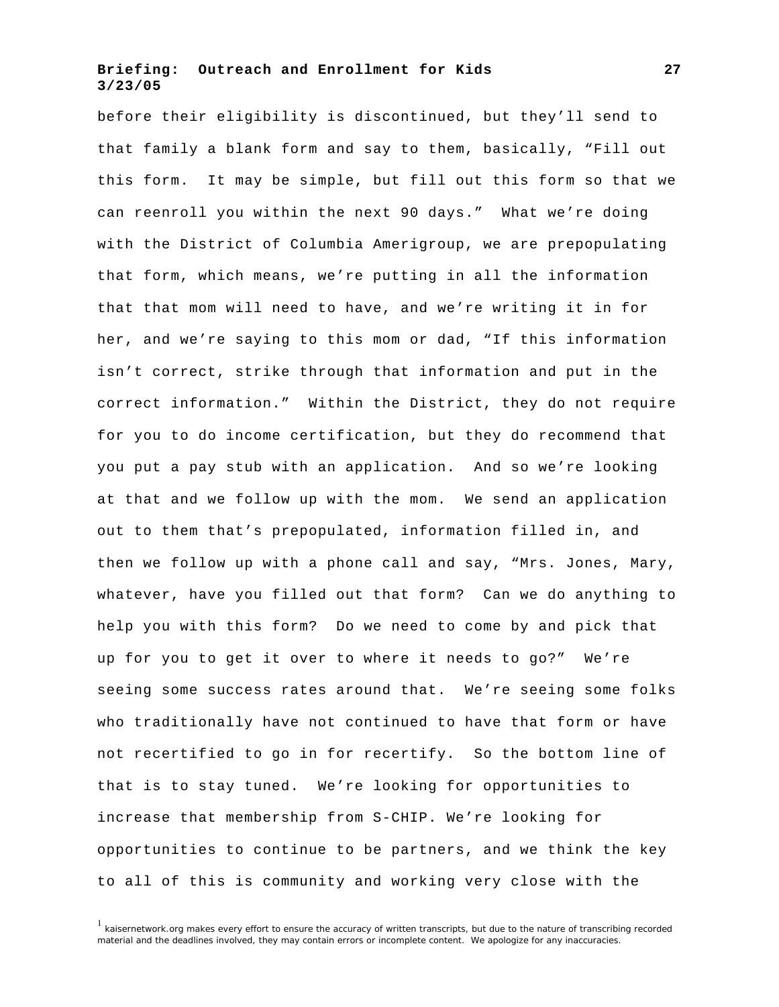before their eligibility is discontinued, but they'll send to that family a blank form and say to them, basically, "Fill out this form. It may be simple, but fill out this form so that we can reenroll you within the next 90 days." What we're doing with the District of Columbia Amerigroup, we are prepopulating that form, which means, we're putting in all the information that that mom will need to have, and we're writing it in for her, and we're saying to this mom or dad, "If this information isn't correct, strike through that information and put in the correct information." Within the District, they do not require for you to do income certification, but they do recommend that you put a pay stub with an application. And so we're looking at that and we follow up with the mom. We send an application out to them that's prepopulated, information filled in, and then we follow up with a phone call and say, "Mrs. Jones, Mary, whatever, have you filled out that form? Can we do anything to help you with this form? Do we need to come by and pick that up for you to get it over to where it needs to go?" We're seeing some success rates around that. We're seeing some folks who traditionally have not continued to have that form or have not recertified to go in for recertify. So the bottom line of that is to stay tuned. We're looking for opportunities to increase that membership from S-CHIP. We're looking for opportunities to continue to be partners, and we think the key to all of this is community and working very close with the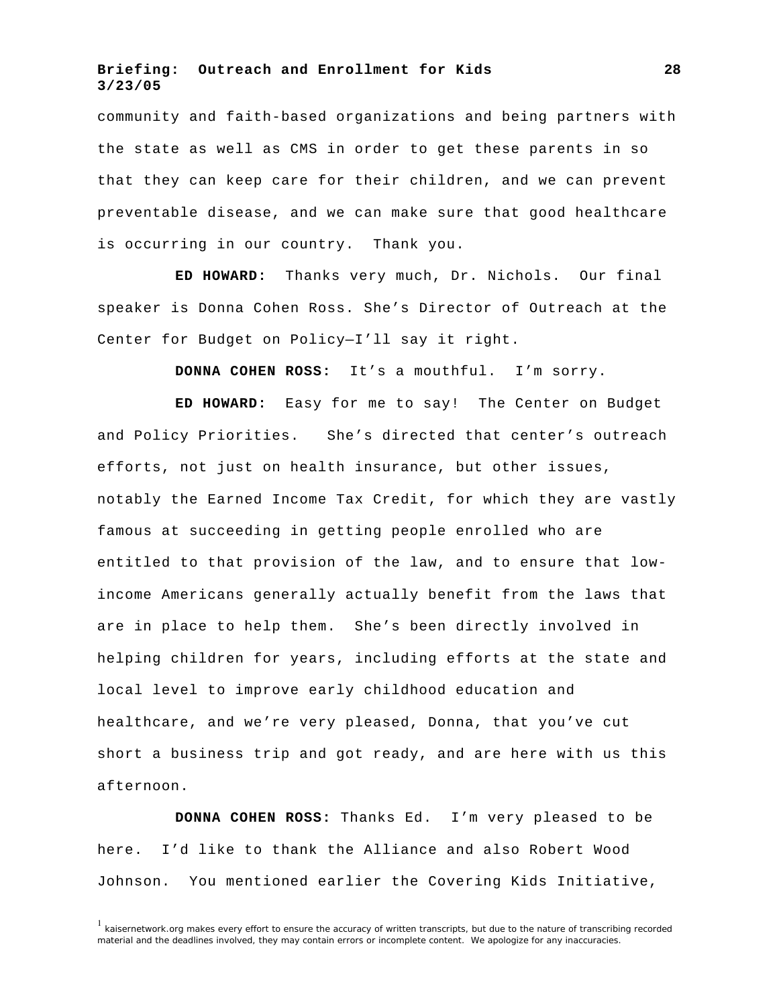community and faith-based organizations and being partners with the state as well as CMS in order to get these parents in so that they can keep care for their children, and we can prevent preventable disease, and we can make sure that good healthcare is occurring in our country. Thank you.

**ED HOWARD:** Thanks very much, Dr. Nichols. Our final speaker is Donna Cohen Ross. She's Director of Outreach at the Center for Budget on Policy—I'll say it right.

**DONNA COHEN ROSS:** It's a mouthful. I'm sorry.

**ED HOWARD:** Easy for me to say! The Center on Budget and Policy Priorities. She's directed that center's outreach efforts, not just on health insurance, but other issues, notably the Earned Income Tax Credit, for which they are vastly famous at succeeding in getting people enrolled who are entitled to that provision of the law, and to ensure that lowincome Americans generally actually benefit from the laws that are in place to help them. She's been directly involved in helping children for years, including efforts at the state and local level to improve early childhood education and healthcare, and we're very pleased, Donna, that you've cut short a business trip and got ready, and are here with us this afternoon.

**DONNA COHEN ROSS:** Thanks Ed. I'm very pleased to be here. I'd like to thank the Alliance and also Robert Wood Johnson. You mentioned earlier the Covering Kids Initiative,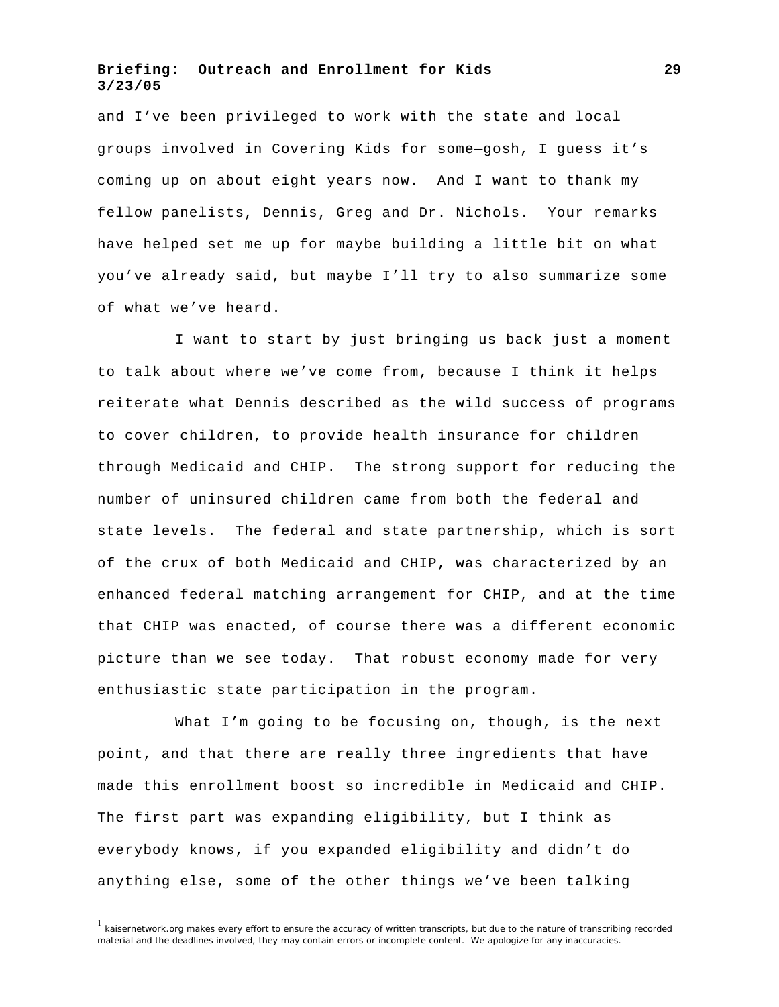and I've been privileged to work with the state and local groups involved in Covering Kids for some—gosh, I guess it's coming up on about eight years now. And I want to thank my fellow panelists, Dennis, Greg and Dr. Nichols. Your remarks have helped set me up for maybe building a little bit on what you've already said, but maybe I'll try to also summarize some of what we've heard.

I want to start by just bringing us back just a moment to talk about where we've come from, because I think it helps reiterate what Dennis described as the wild success of programs to cover children, to provide health insurance for children through Medicaid and CHIP. The strong support for reducing the number of uninsured children came from both the federal and state levels. The federal and state partnership, which is sort of the crux of both Medicaid and CHIP, was characterized by an enhanced federal matching arrangement for CHIP, and at the time that CHIP was enacted, of course there was a different economic picture than we see today. That robust economy made for very enthusiastic state participation in the program.

What I'm going to be focusing on, though, is the next point, and that there are really three ingredients that have made this enrollment boost so incredible in Medicaid and CHIP. The first part was expanding eligibility, but I think as everybody knows, if you expanded eligibility and didn't do anything else, some of the other things we've been talking

 $1$  kaisernetwork.org makes every effort to ensure the accuracy of written transcripts, but due to the nature of transcribing recorded material and the deadlines involved, they may contain errors or incomplete content. We apologize for any inaccuracies.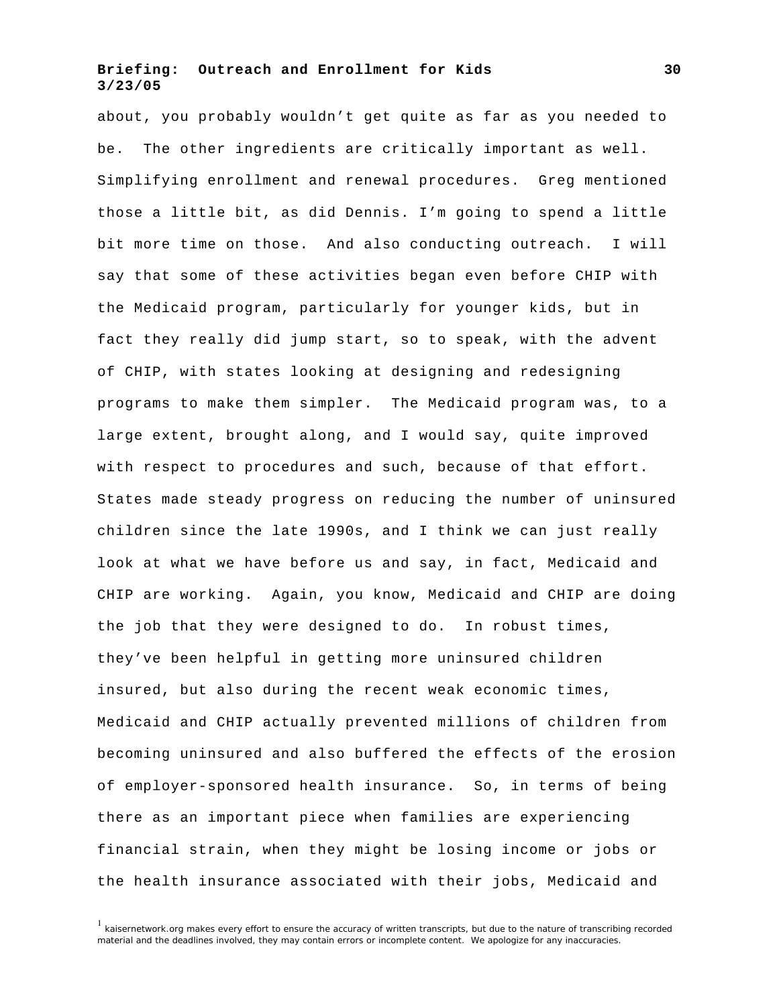about, you probably wouldn't get quite as far as you needed to be. The other ingredients are critically important as well. Simplifying enrollment and renewal procedures. Greg mentioned those a little bit, as did Dennis. I'm going to spend a little bit more time on those. And also conducting outreach. I will say that some of these activities began even before CHIP with the Medicaid program, particularly for younger kids, but in fact they really did jump start, so to speak, with the advent of CHIP, with states looking at designing and redesigning programs to make them simpler. The Medicaid program was, to a large extent, brought along, and I would say, quite improved with respect to procedures and such, because of that effort. States made steady progress on reducing the number of uninsured children since the late 1990s, and I think we can just really look at what we have before us and say, in fact, Medicaid and CHIP are working. Again, you know, Medicaid and CHIP are doing the job that they were designed to do. In robust times, they've been helpful in getting more uninsured children insured, but also during the recent weak economic times, Medicaid and CHIP actually prevented millions of children from becoming uninsured and also buffered the effects of the erosion of employer-sponsored health insurance. So, in terms of being there as an important piece when families are experiencing financial strain, when they might be losing income or jobs or the health insurance associated with their jobs, Medicaid and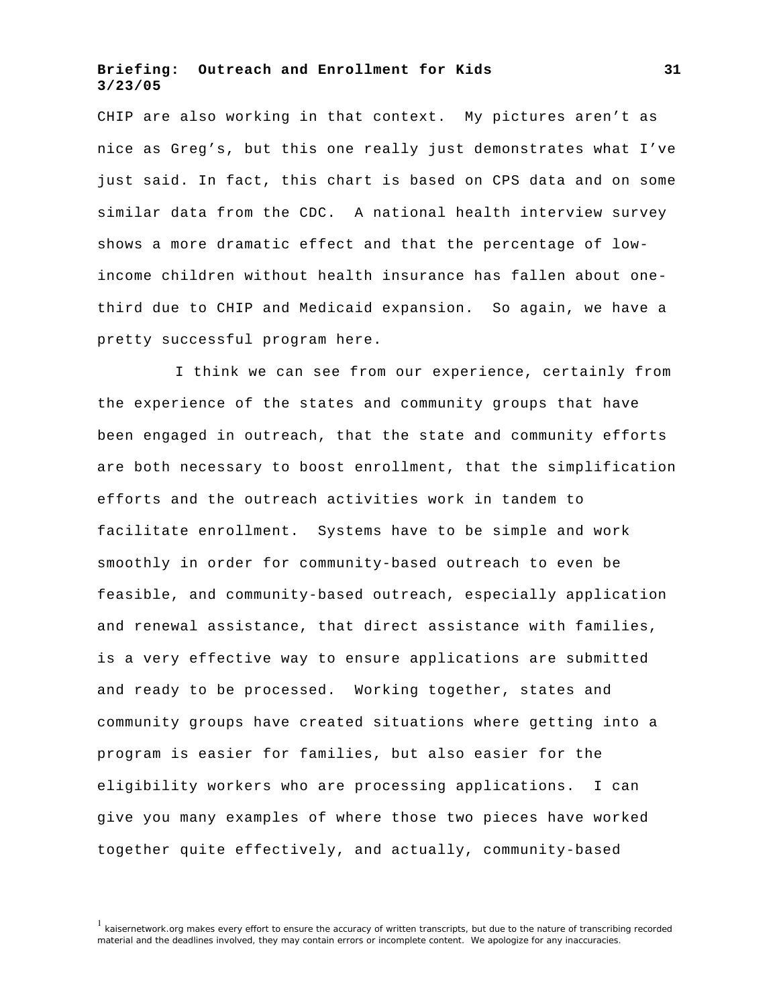CHIP are also working in that context. My pictures aren't as nice as Greg's, but this one really just demonstrates what I've just said. In fact, this chart is based on CPS data and on some similar data from the CDC. A national health interview survey shows a more dramatic effect and that the percentage of lowincome children without health insurance has fallen about onethird due to CHIP and Medicaid expansion. So again, we have a pretty successful program here.

I think we can see from our experience, certainly from the experience of the states and community groups that have been engaged in outreach, that the state and community efforts are both necessary to boost enrollment, that the simplification efforts and the outreach activities work in tandem to facilitate enrollment. Systems have to be simple and work smoothly in order for community-based outreach to even be feasible, and community-based outreach, especially application and renewal assistance, that direct assistance with families, is a very effective way to ensure applications are submitted and ready to be processed. Working together, states and community groups have created situations where getting into a program is easier for families, but also easier for the eligibility workers who are processing applications. I can give you many examples of where those two pieces have worked together quite effectively, and actually, community-based

<sup>&</sup>lt;sup>1</sup> kaisernetwork.org makes every effort to ensure the accuracy of written transcripts, but due to the nature of transcribing recorded material and the deadlines involved, they may contain errors or incomplete content. We apologize for any inaccuracies.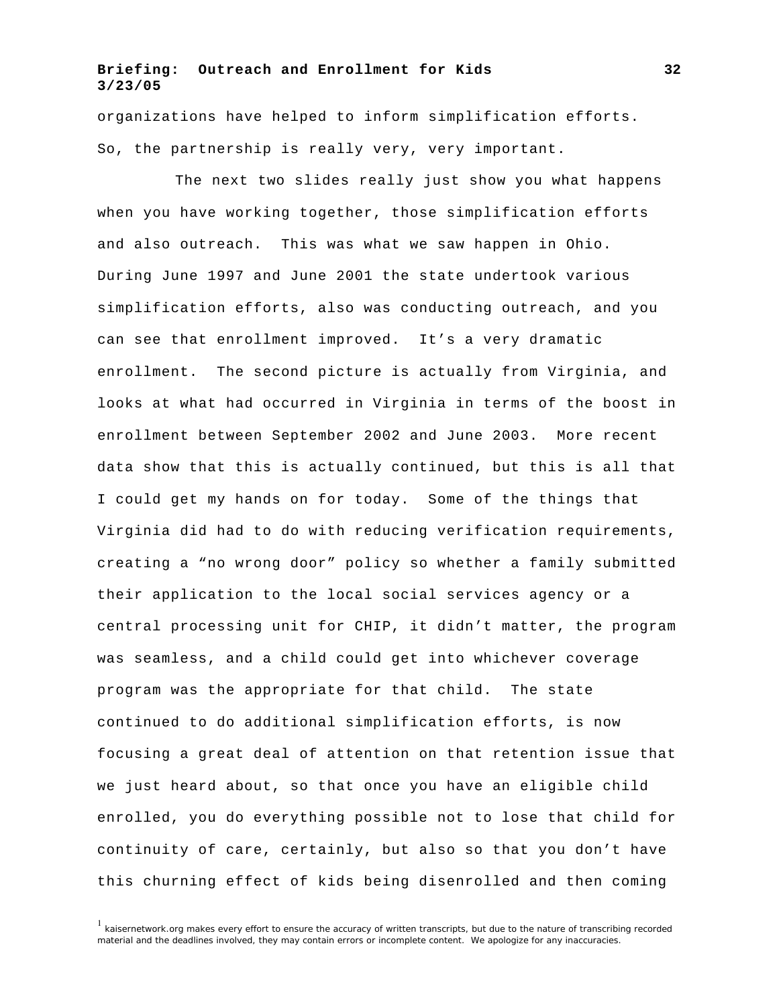organizations have helped to inform simplification efforts. So, the partnership is really very, very important.

The next two slides really just show you what happens when you have working together, those simplification efforts and also outreach. This was what we saw happen in Ohio. During June 1997 and June 2001 the state undertook various simplification efforts, also was conducting outreach, and you can see that enrollment improved. It's a very dramatic enrollment. The second picture is actually from Virginia, and looks at what had occurred in Virginia in terms of the boost in enrollment between September 2002 and June 2003. More recent data show that this is actually continued, but this is all that I could get my hands on for today. Some of the things that Virginia did had to do with reducing verification requirements, creating a "no wrong door" policy so whether a family submitted their application to the local social services agency or a central processing unit for CHIP, it didn't matter, the program was seamless, and a child could get into whichever coverage program was the appropriate for that child. The state continued to do additional simplification efforts, is now focusing a great deal of attention on that retention issue that we just heard about, so that once you have an eligible child enrolled, you do everything possible not to lose that child for continuity of care, certainly, but also so that you don't have this churning effect of kids being disenrolled and then coming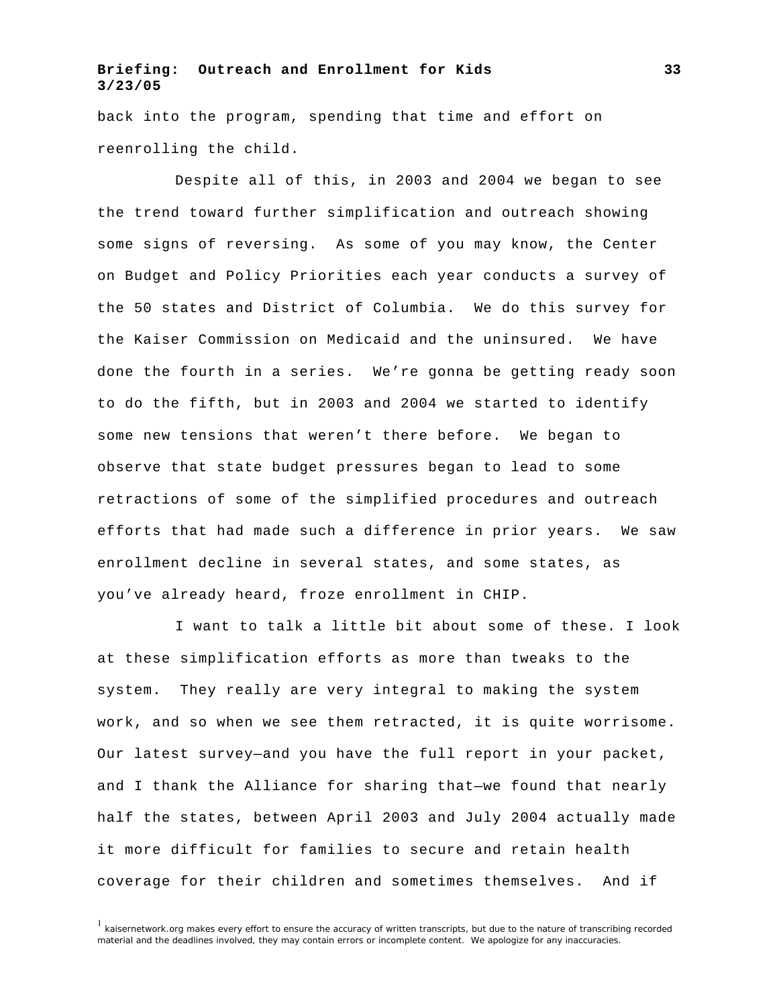back into the program, spending that time and effort on reenrolling the child.

Despite all of this, in 2003 and 2004 we began to see the trend toward further simplification and outreach showing some signs of reversing. As some of you may know, the Center on Budget and Policy Priorities each year conducts a survey of the 50 states and District of Columbia. We do this survey for the Kaiser Commission on Medicaid and the uninsured. We have done the fourth in a series. We're gonna be getting ready soon to do the fifth, but in 2003 and 2004 we started to identify some new tensions that weren't there before. We began to observe that state budget pressures began to lead to some retractions of some of the simplified procedures and outreach efforts that had made such a difference in prior years. We saw enrollment decline in several states, and some states, as you've already heard, froze enrollment in CHIP.

I want to talk a little bit about some of these. I look at these simplification efforts as more than tweaks to the system. They really are very integral to making the system work, and so when we see them retracted, it is quite worrisome. Our latest survey—and you have the full report in your packet, and I thank the Alliance for sharing that—we found that nearly half the states, between April 2003 and July 2004 actually made it more difficult for families to secure and retain health coverage for their children and sometimes themselves. And if

 $<sup>1</sup>$  kaisernetwork.org makes every effort to ensure the accuracy of written transcripts, but due to the nature of transcribing recorded</sup> material and the deadlines involved, they may contain errors or incomplete content. We apologize for any inaccuracies.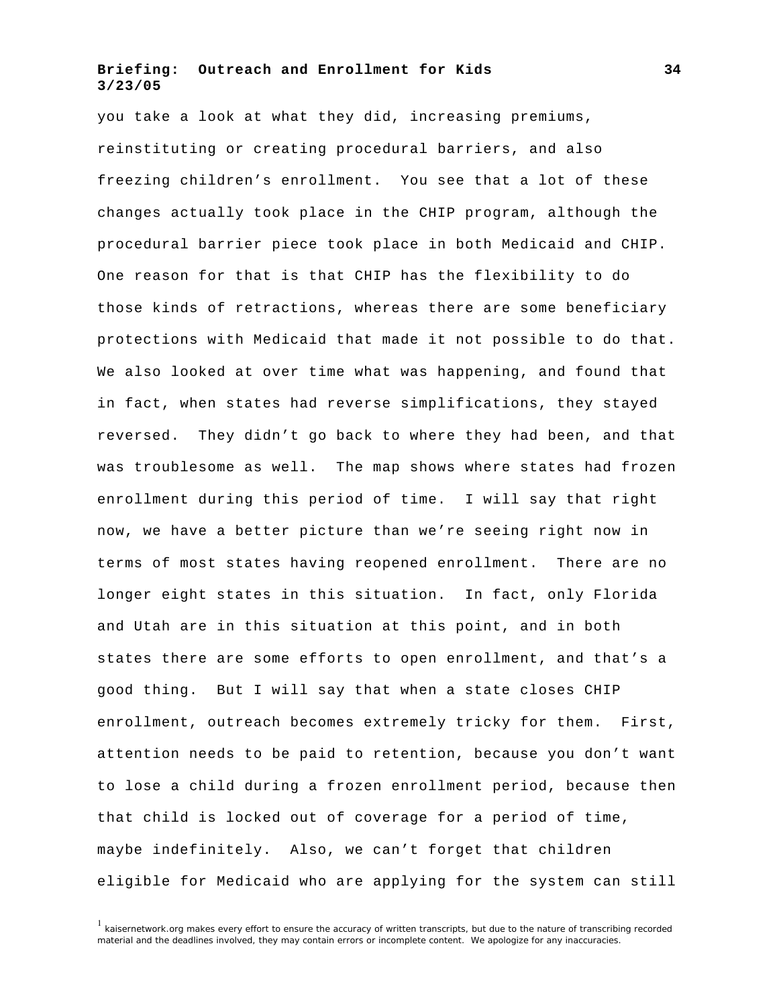you take a look at what they did, increasing premiums, reinstituting or creating procedural barriers, and also freezing children's enrollment. You see that a lot of these changes actually took place in the CHIP program, although the procedural barrier piece took place in both Medicaid and CHIP. One reason for that is that CHIP has the flexibility to do those kinds of retractions, whereas there are some beneficiary protections with Medicaid that made it not possible to do that. We also looked at over time what was happening, and found that in fact, when states had reverse simplifications, they stayed reversed. They didn't go back to where they had been, and that was troublesome as well. The map shows where states had frozen enrollment during this period of time. I will say that right now, we have a better picture than we're seeing right now in terms of most states having reopened enrollment. There are no longer eight states in this situation. In fact, only Florida and Utah are in this situation at this point, and in both states there are some efforts to open enrollment, and that's a good thing. But I will say that when a state closes CHIP enrollment, outreach becomes extremely tricky for them. First, attention needs to be paid to retention, because you don't want to lose a child during a frozen enrollment period, because then that child is locked out of coverage for a period of time, maybe indefinitely. Also, we can't forget that children eligible for Medicaid who are applying for the system can still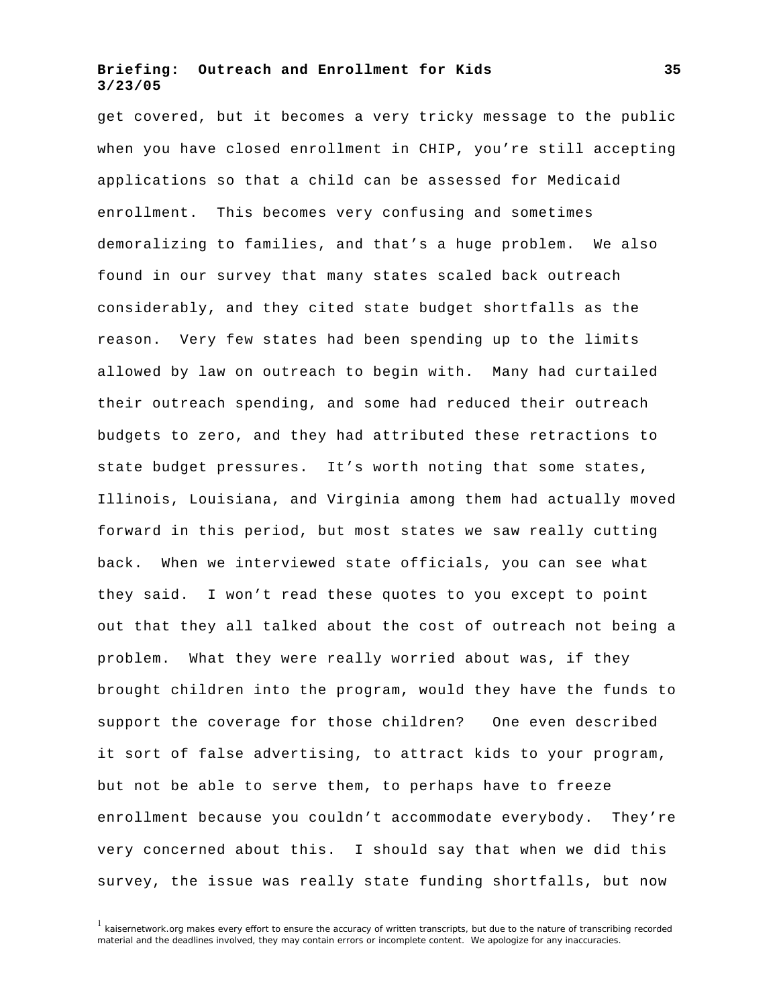get covered, but it becomes a very tricky message to the public when you have closed enrollment in CHIP, you're still accepting applications so that a child can be assessed for Medicaid enrollment. This becomes very confusing and sometimes demoralizing to families, and that's a huge problem. We also found in our survey that many states scaled back outreach considerably, and they cited state budget shortfalls as the reason. Very few states had been spending up to the limits allowed by law on outreach to begin with. Many had curtailed their outreach spending, and some had reduced their outreach budgets to zero, and they had attributed these retractions to state budget pressures. It's worth noting that some states, Illinois, Louisiana, and Virginia among them had actually moved forward in this period, but most states we saw really cutting back. When we interviewed state officials, you can see what they said. I won't read these quotes to you except to point out that they all talked about the cost of outreach not being a problem. What they were really worried about was, if they brought children into the program, would they have the funds to support the coverage for those children? One even described it sort of false advertising, to attract kids to your program, but not be able to serve them, to perhaps have to freeze enrollment because you couldn't accommodate everybody. They're very concerned about this. I should say that when we did this survey, the issue was really state funding shortfalls, but now

 $1$  kaisernetwork.org makes every effort to ensure the accuracy of written transcripts, but due to the nature of transcribing recorded material and the deadlines involved, they may contain errors or incomplete content. We apologize for any inaccuracies.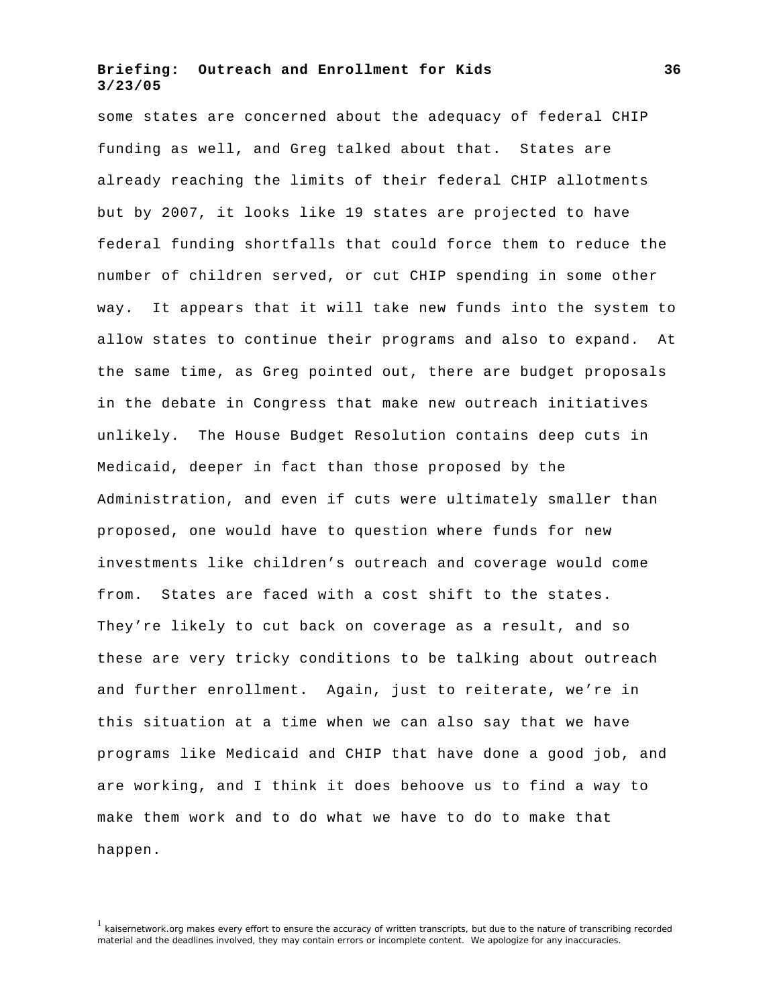some states are concerned about the adequacy of federal CHIP funding as well, and Greg talked about that. States are already reaching the limits of their federal CHIP allotments but by 2007, it looks like 19 states are projected to have federal funding shortfalls that could force them to reduce the number of children served, or cut CHIP spending in some other way. It appears that it will take new funds into the system to allow states to continue their programs and also to expand. At the same time, as Greg pointed out, there are budget proposals in the debate in Congress that make new outreach initiatives unlikely. The House Budget Resolution contains deep cuts in Medicaid, deeper in fact than those proposed by the Administration, and even if cuts were ultimately smaller than proposed, one would have to question where funds for new investments like children's outreach and coverage would come from. States are faced with a cost shift to the states. They're likely to cut back on coverage as a result, and so these are very tricky conditions to be talking about outreach and further enrollment. Again, just to reiterate, we're in this situation at a time when we can also say that we have programs like Medicaid and CHIP that have done a good job, and are working, and I think it does behoove us to find a way to make them work and to do what we have to do to make that happen.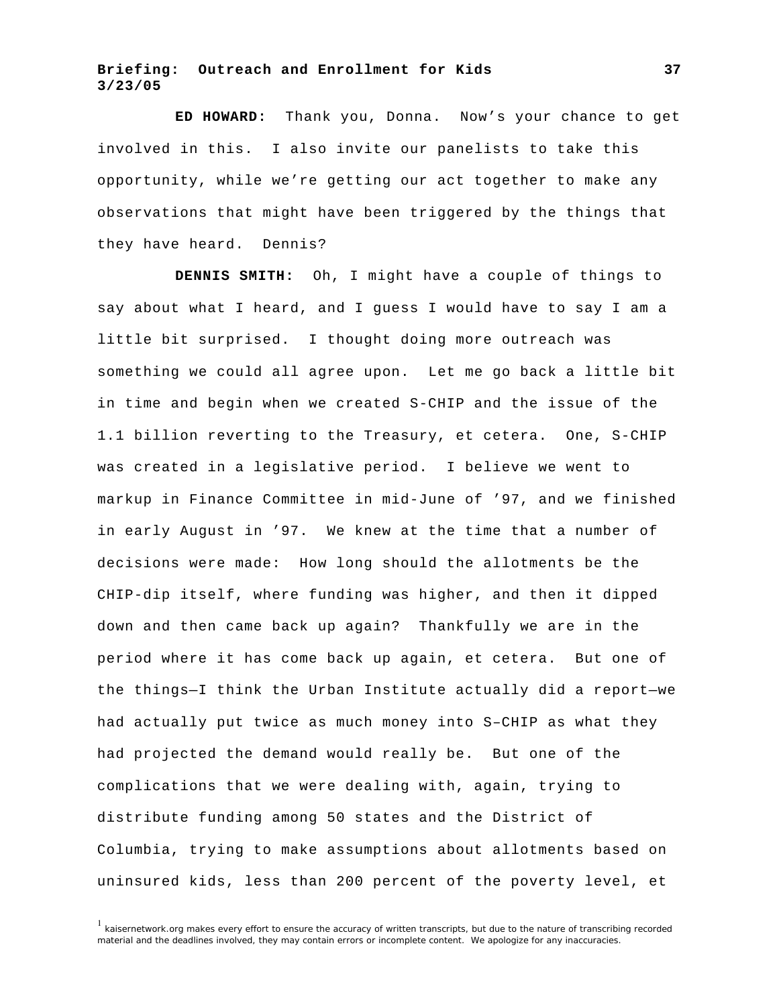**ED HOWARD:** Thank you, Donna. Now's your chance to get involved in this. I also invite our panelists to take this opportunity, while we're getting our act together to make any observations that might have been triggered by the things that they have heard. Dennis?

**DENNIS SMITH:** Oh, I might have a couple of things to say about what I heard, and I guess I would have to say I am a little bit surprised. I thought doing more outreach was something we could all agree upon. Let me go back a little bit in time and begin when we created S-CHIP and the issue of the 1.1 billion reverting to the Treasury, et cetera. One, S-CHIP was created in a legislative period. I believe we went to markup in Finance Committee in mid-June of '97, and we finished in early August in '97. We knew at the time that a number of decisions were made: How long should the allotments be the CHIP-dip itself, where funding was higher, and then it dipped down and then came back up again? Thankfully we are in the period where it has come back up again, et cetera. But one of the things—I think the Urban Institute actually did a report—we had actually put twice as much money into S–CHIP as what they had projected the demand would really be. But one of the complications that we were dealing with, again, trying to distribute funding among 50 states and the District of Columbia, trying to make assumptions about allotments based on uninsured kids, less than 200 percent of the poverty level, et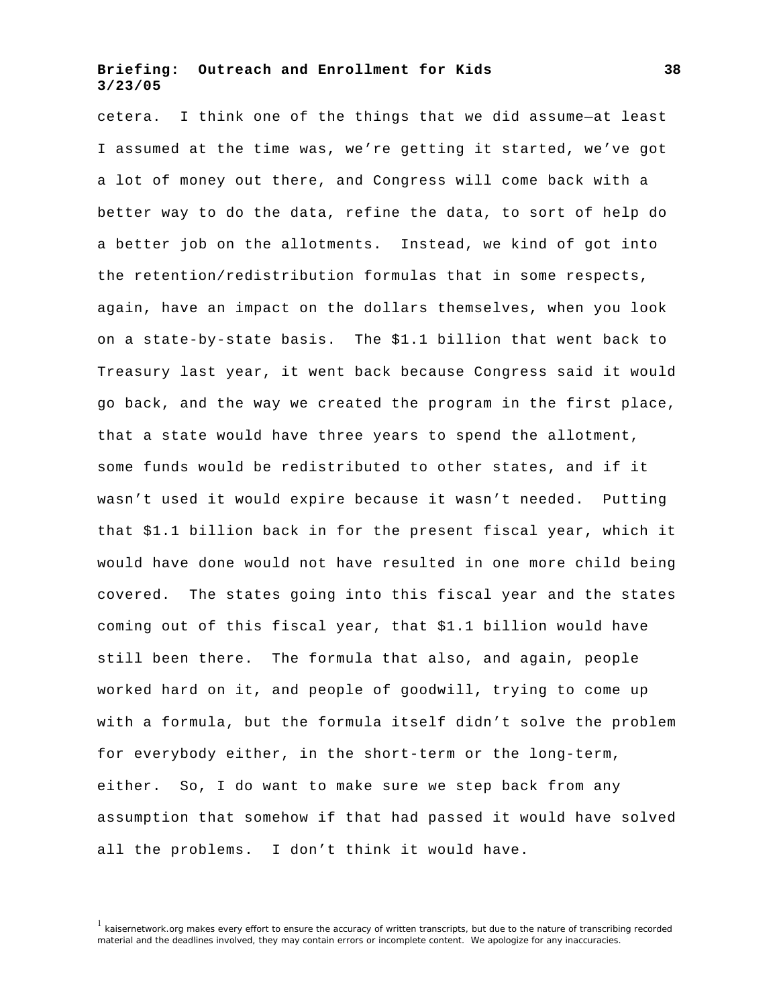cetera. I think one of the things that we did assume—at least I assumed at the time was, we're getting it started, we've got a lot of money out there, and Congress will come back with a better way to do the data, refine the data, to sort of help do a better job on the allotments. Instead, we kind of got into the retention/redistribution formulas that in some respects, again, have an impact on the dollars themselves, when you look on a state-by-state basis. The \$1.1 billion that went back to Treasury last year, it went back because Congress said it would go back, and the way we created the program in the first place, that a state would have three years to spend the allotment, some funds would be redistributed to other states, and if it wasn't used it would expire because it wasn't needed. Putting that \$1.1 billion back in for the present fiscal year, which it would have done would not have resulted in one more child being covered. The states going into this fiscal year and the states coming out of this fiscal year, that \$1.1 billion would have still been there. The formula that also, and again, people worked hard on it, and people of goodwill, trying to come up with a formula, but the formula itself didn't solve the problem for everybody either, in the short-term or the long-term, either. So, I do want to make sure we step back from any assumption that somehow if that had passed it would have solved all the problems. I don't think it would have.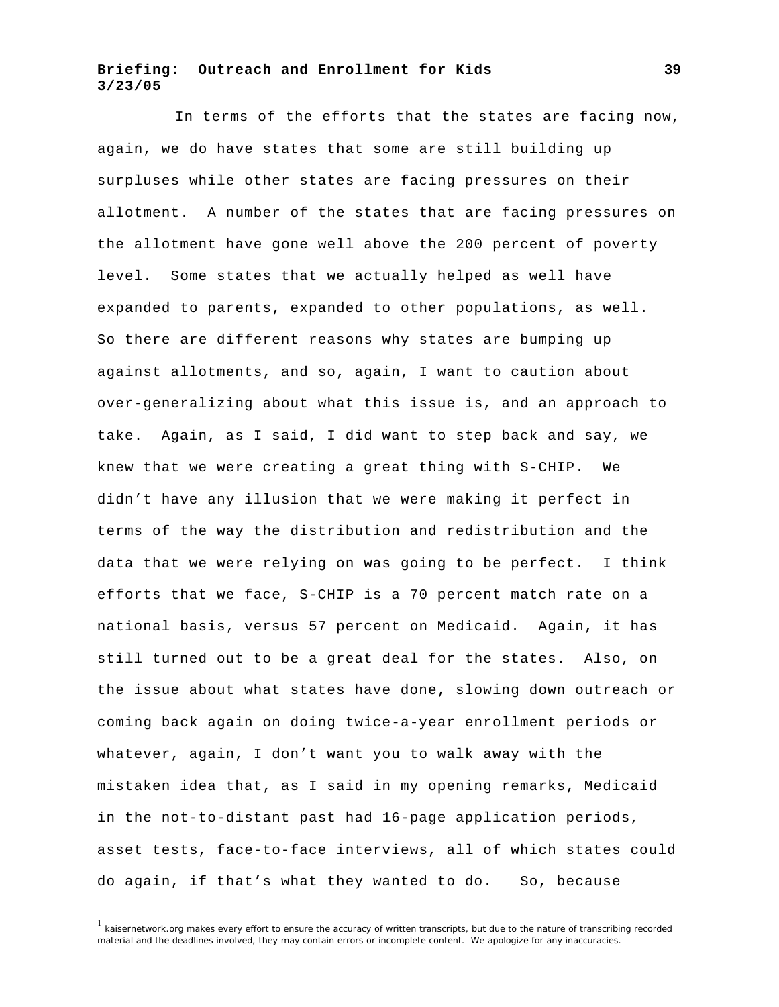In terms of the efforts that the states are facing now, again, we do have states that some are still building up surpluses while other states are facing pressures on their allotment. A number of the states that are facing pressures on the allotment have gone well above the 200 percent of poverty level. Some states that we actually helped as well have expanded to parents, expanded to other populations, as well. So there are different reasons why states are bumping up against allotments, and so, again, I want to caution about over-generalizing about what this issue is, and an approach to take. Again, as I said, I did want to step back and say, we knew that we were creating a great thing with S-CHIP. We didn't have any illusion that we were making it perfect in terms of the way the distribution and redistribution and the data that we were relying on was going to be perfect. I think efforts that we face, S-CHIP is a 70 percent match rate on a national basis, versus 57 percent on Medicaid. Again, it has still turned out to be a great deal for the states. Also, on the issue about what states have done, slowing down outreach or coming back again on doing twice-a-year enrollment periods or whatever, again, I don't want you to walk away with the mistaken idea that, as I said in my opening remarks, Medicaid in the not-to-distant past had 16-page application periods, asset tests, face-to-face interviews, all of which states could do again, if that's what they wanted to do. So, because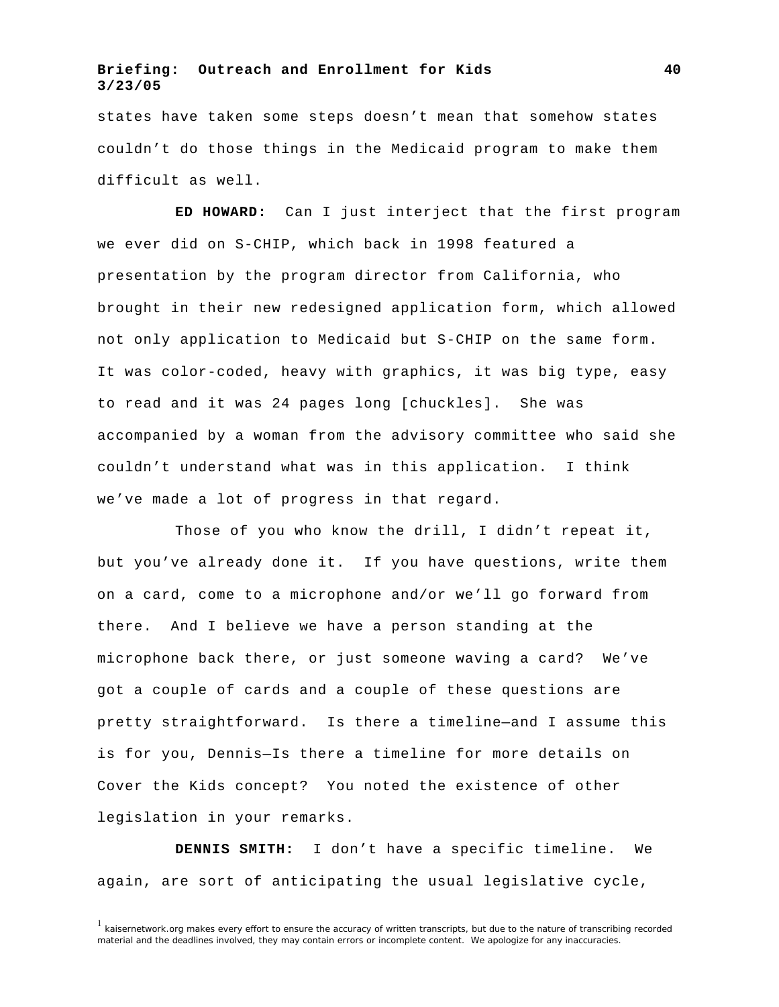states have taken some steps doesn't mean that somehow states couldn't do those things in the Medicaid program to make them difficult as well.

**ED HOWARD:** Can I just interject that the first program we ever did on S-CHIP, which back in 1998 featured a presentation by the program director from California, who brought in their new redesigned application form, which allowed not only application to Medicaid but S-CHIP on the same form. It was color-coded, heavy with graphics, it was big type, easy to read and it was 24 pages long [chuckles]. She was accompanied by a woman from the advisory committee who said she couldn't understand what was in this application. I think we've made a lot of progress in that regard.

Those of you who know the drill, I didn't repeat it, but you've already done it. If you have questions, write them on a card, come to a microphone and/or we'll go forward from there. And I believe we have a person standing at the microphone back there, or just someone waving a card? We've got a couple of cards and a couple of these questions are pretty straightforward. Is there a timeline—and I assume this is for you, Dennis—Is there a timeline for more details on Cover the Kids concept? You noted the existence of other legislation in your remarks.

**DENNIS SMITH:** I don't have a specific timeline. We again, are sort of anticipating the usual legislative cycle,

 $<sup>1</sup>$  kaisernetwork.org makes every effort to ensure the accuracy of written transcripts, but due to the nature of transcribing recorded</sup> material and the deadlines involved, they may contain errors or incomplete content. We apologize for any inaccuracies.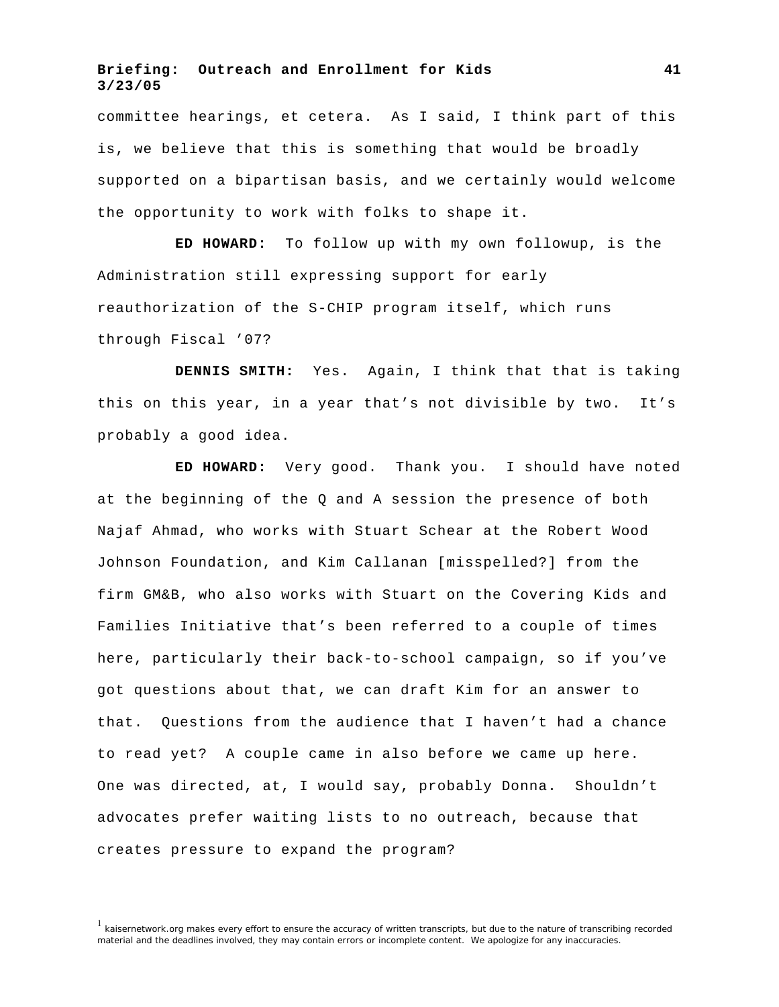committee hearings, et cetera. As I said, I think part of this is, we believe that this is something that would be broadly supported on a bipartisan basis, and we certainly would welcome the opportunity to work with folks to shape it.

**ED HOWARD:** To follow up with my own followup, is the Administration still expressing support for early reauthorization of the S-CHIP program itself, which runs through Fiscal '07?

**DENNIS SMITH:** Yes. Again, I think that that is taking this on this year, in a year that's not divisible by two. It's probably a good idea.

**ED HOWARD:** Very good. Thank you. I should have noted at the beginning of the Q and A session the presence of both Najaf Ahmad, who works with Stuart Schear at the Robert Wood Johnson Foundation, and Kim Callanan [misspelled?] from the firm GM&B, who also works with Stuart on the Covering Kids and Families Initiative that's been referred to a couple of times here, particularly their back-to-school campaign, so if you've got questions about that, we can draft Kim for an answer to that. Questions from the audience that I haven't had a chance to read yet? A couple came in also before we came up here. One was directed, at, I would say, probably Donna. Shouldn't advocates prefer waiting lists to no outreach, because that creates pressure to expand the program?

<sup>&</sup>lt;sup>1</sup> kaisernetwork.org makes every effort to ensure the accuracy of written transcripts, but due to the nature of transcribing recorded material and the deadlines involved, they may contain errors or incomplete content. We apologize for any inaccuracies.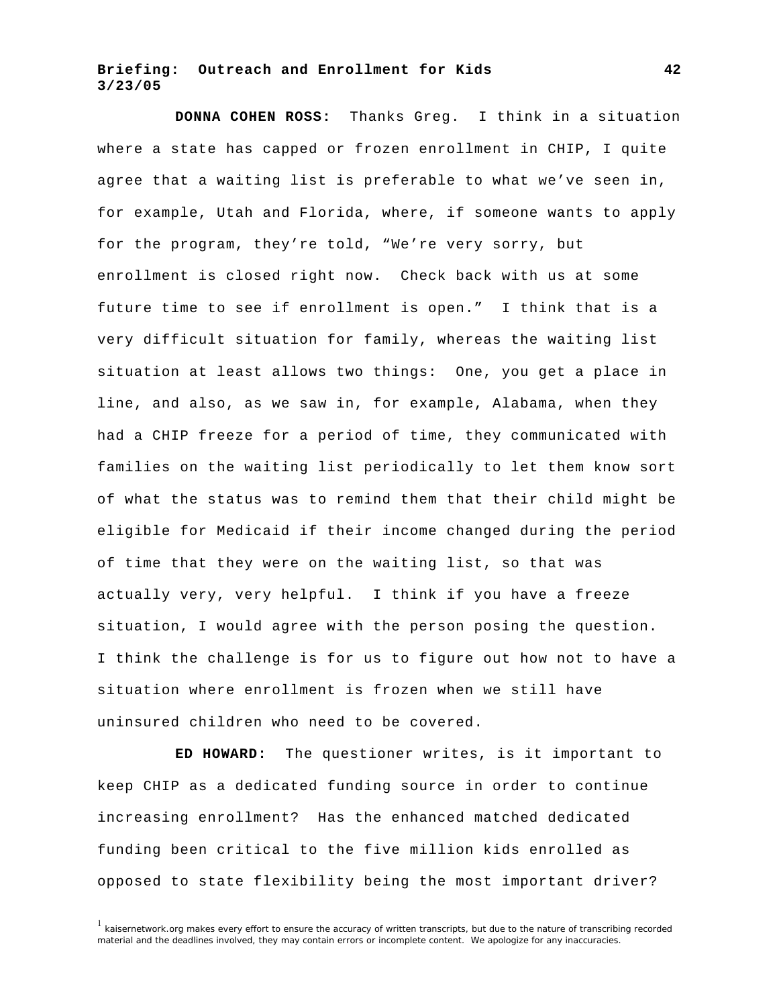**DONNA COHEN ROSS:** Thanks Greg. I think in a situation where a state has capped or frozen enrollment in CHIP, I quite agree that a waiting list is preferable to what we've seen in, for example, Utah and Florida, where, if someone wants to apply for the program, they're told, "We're very sorry, but enrollment is closed right now. Check back with us at some future time to see if enrollment is open." I think that is a very difficult situation for family, whereas the waiting list situation at least allows two things: One, you get a place in line, and also, as we saw in, for example, Alabama, when they had a CHIP freeze for a period of time, they communicated with families on the waiting list periodically to let them know sort of what the status was to remind them that their child might be eligible for Medicaid if their income changed during the period of time that they were on the waiting list, so that was actually very, very helpful. I think if you have a freeze situation, I would agree with the person posing the question. I think the challenge is for us to figure out how not to have a situation where enrollment is frozen when we still have uninsured children who need to be covered.

**ED HOWARD:** The questioner writes, is it important to keep CHIP as a dedicated funding source in order to continue increasing enrollment? Has the enhanced matched dedicated funding been critical to the five million kids enrolled as opposed to state flexibility being the most important driver?

 $1$  kaisernetwork.org makes every effort to ensure the accuracy of written transcripts, but due to the nature of transcribing recorded material and the deadlines involved, they may contain errors or incomplete content. We apologize for any inaccuracies.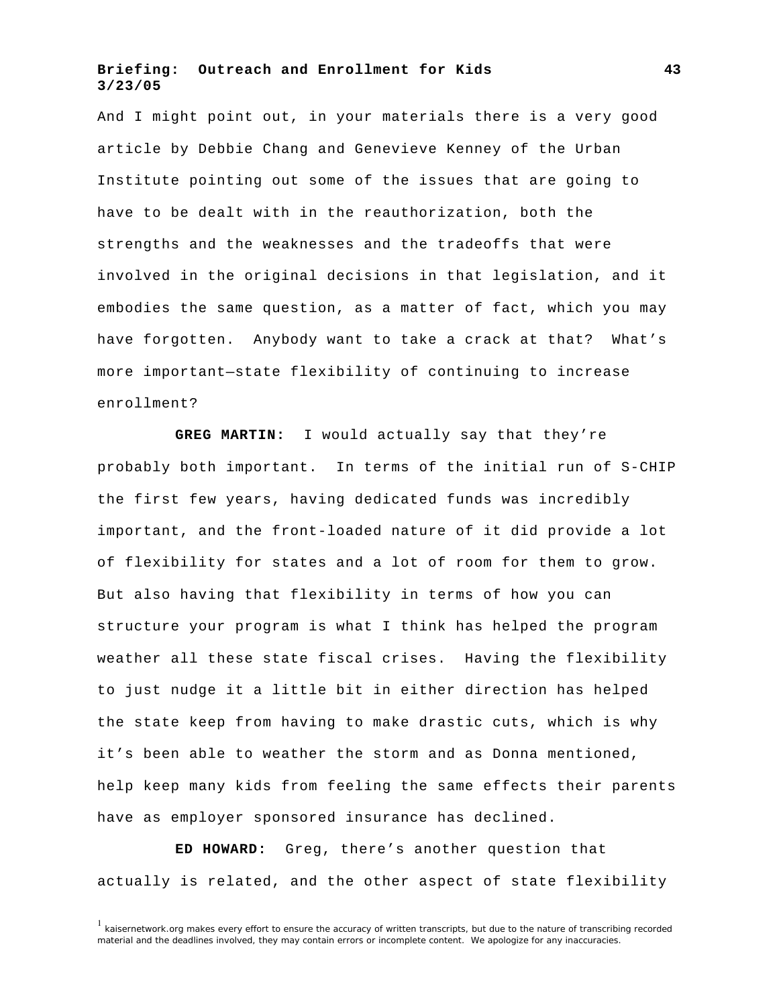And I might point out, in your materials there is a very good article by Debbie Chang and Genevieve Kenney of the Urban Institute pointing out some of the issues that are going to have to be dealt with in the reauthorization, both the strengths and the weaknesses and the tradeoffs that were involved in the original decisions in that legislation, and it embodies the same question, as a matter of fact, which you may have forgotten. Anybody want to take a crack at that? What's more important—state flexibility of continuing to increase enrollment?

**GREG MARTIN:** I would actually say that they're probably both important. In terms of the initial run of S-CHIP the first few years, having dedicated funds was incredibly important, and the front-loaded nature of it did provide a lot of flexibility for states and a lot of room for them to grow. But also having that flexibility in terms of how you can structure your program is what I think has helped the program weather all these state fiscal crises. Having the flexibility to just nudge it a little bit in either direction has helped the state keep from having to make drastic cuts, which is why it's been able to weather the storm and as Donna mentioned, help keep many kids from feeling the same effects their parents have as employer sponsored insurance has declined.

**ED HOWARD:** Greg, there's another question that actually is related, and the other aspect of state flexibility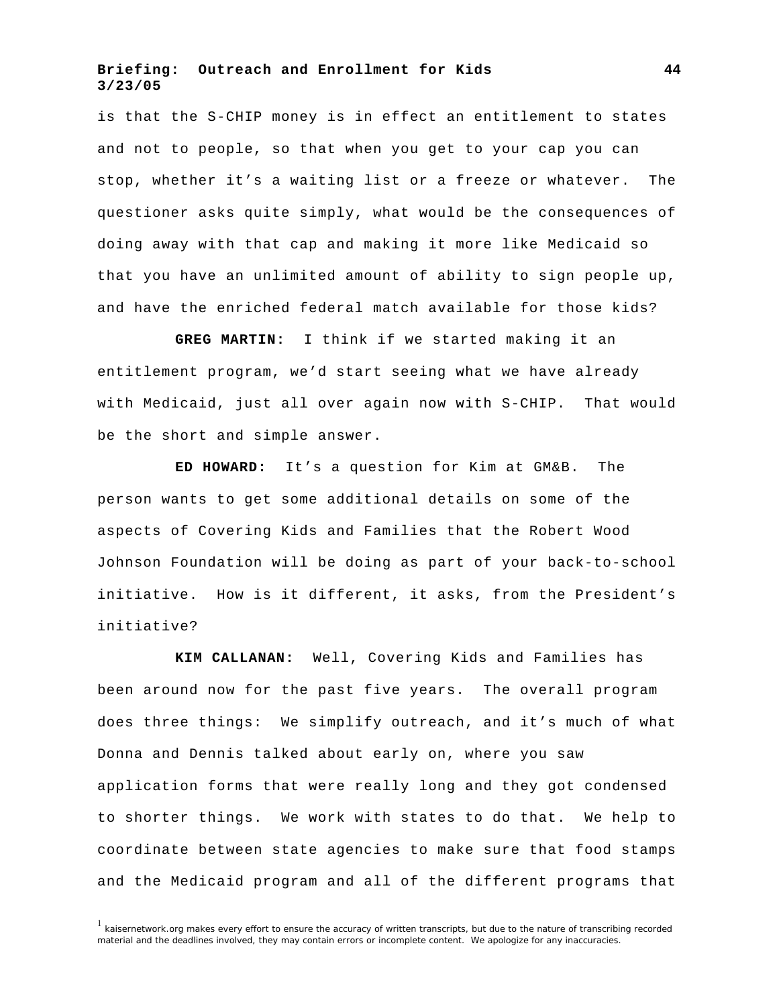is that the S-CHIP money is in effect an entitlement to states and not to people, so that when you get to your cap you can stop, whether it's a waiting list or a freeze or whatever. The questioner asks quite simply, what would be the consequences of doing away with that cap and making it more like Medicaid so that you have an unlimited amount of ability to sign people up, and have the enriched federal match available for those kids?

**GREG MARTIN:** I think if we started making it an entitlement program, we'd start seeing what we have already with Medicaid, just all over again now with S-CHIP. That would be the short and simple answer.

**ED HOWARD:** It's a question for Kim at GM&B. The person wants to get some additional details on some of the aspects of Covering Kids and Families that the Robert Wood Johnson Foundation will be doing as part of your back-to-school initiative. How is it different, it asks, from the President's initiative?

**KIM CALLANAN:** Well, Covering Kids and Families has been around now for the past five years. The overall program does three things: We simplify outreach, and it's much of what Donna and Dennis talked about early on, where you saw application forms that were really long and they got condensed to shorter things. We work with states to do that. We help to coordinate between state agencies to make sure that food stamps and the Medicaid program and all of the different programs that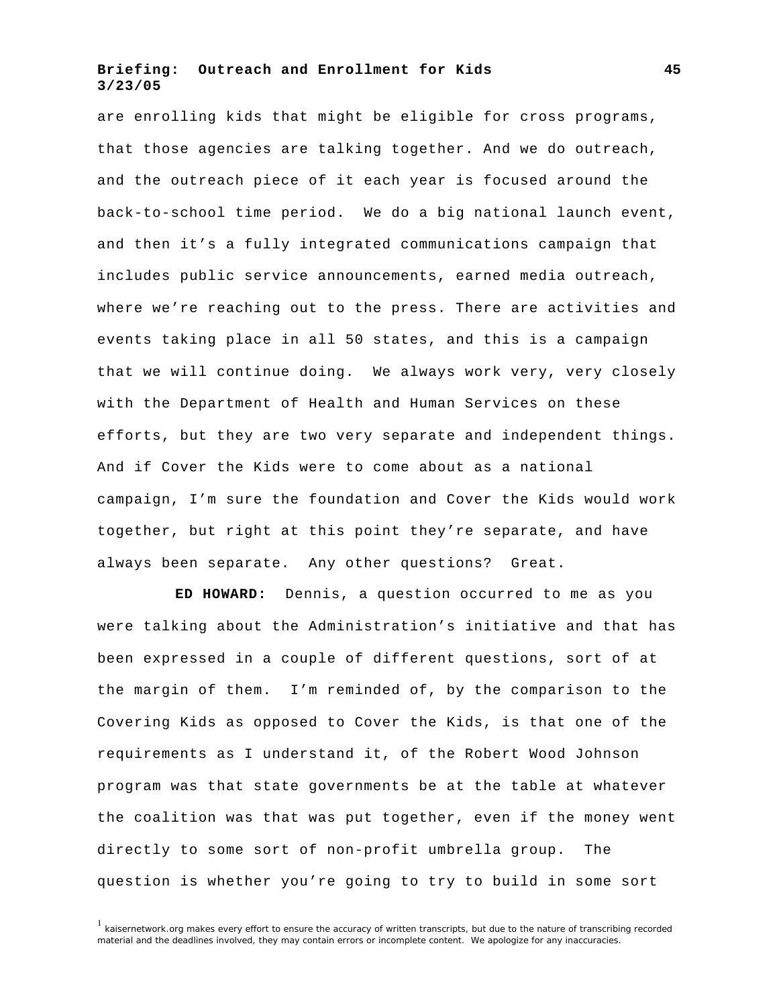are enrolling kids that might be eligible for cross programs, that those agencies are talking together. And we do outreach, and the outreach piece of it each year is focused around the back-to-school time period. We do a big national launch event, and then it's a fully integrated communications campaign that includes public service announcements, earned media outreach, where we're reaching out to the press. There are activities and events taking place in all 50 states, and this is a campaign that we will continue doing. We always work very, very closely with the Department of Health and Human Services on these efforts, but they are two very separate and independent things. And if Cover the Kids were to come about as a national campaign, I'm sure the foundation and Cover the Kids would work together, but right at this point they're separate, and have always been separate. Any other questions? Great.

**ED HOWARD:** Dennis, a question occurred to me as you were talking about the Administration's initiative and that has been expressed in a couple of different questions, sort of at the margin of them. I'm reminded of, by the comparison to the Covering Kids as opposed to Cover the Kids, is that one of the requirements as I understand it, of the Robert Wood Johnson program was that state governments be at the table at whatever the coalition was that was put together, even if the money went directly to some sort of non-profit umbrella group. The question is whether you're going to try to build in some sort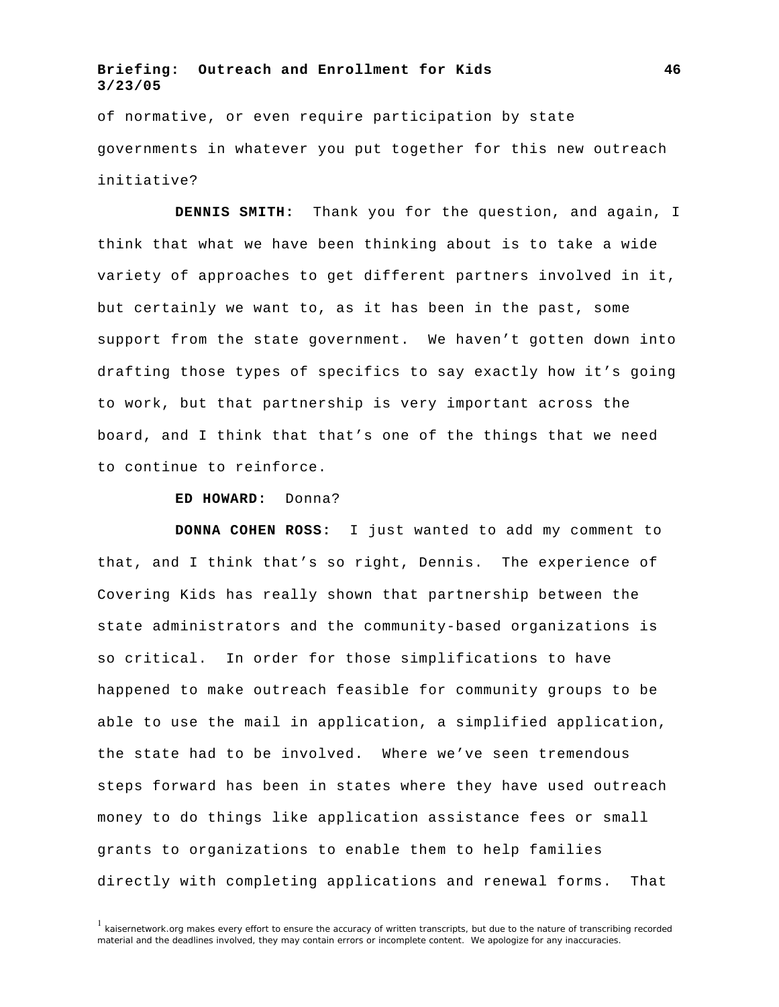of normative, or even require participation by state governments in whatever you put together for this new outreach initiative?

**DENNIS SMITH:** Thank you for the question, and again, I think that what we have been thinking about is to take a wide variety of approaches to get different partners involved in it, but certainly we want to, as it has been in the past, some support from the state government. We haven't gotten down into drafting those types of specifics to say exactly how it's going to work, but that partnership is very important across the board, and I think that that's one of the things that we need to continue to reinforce.

#### **ED HOWARD:** Donna?

**DONNA COHEN ROSS:** I just wanted to add my comment to that, and I think that's so right, Dennis. The experience of Covering Kids has really shown that partnership between the state administrators and the community-based organizations is so critical. In order for those simplifications to have happened to make outreach feasible for community groups to be able to use the mail in application, a simplified application, the state had to be involved. Where we've seen tremendous steps forward has been in states where they have used outreach money to do things like application assistance fees or small grants to organizations to enable them to help families directly with completing applications and renewal forms. That

 $1$  kaisernetwork.org makes every effort to ensure the accuracy of written transcripts, but due to the nature of transcribing recorded material and the deadlines involved, they may contain errors or incomplete content. We apologize for any inaccuracies.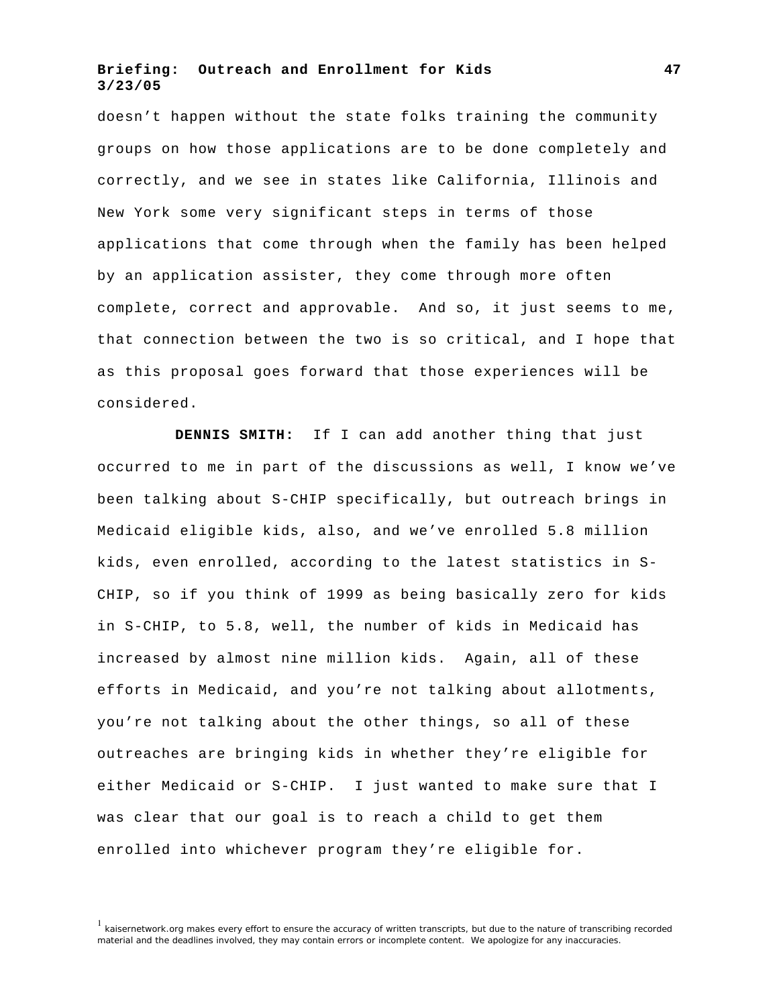doesn't happen without the state folks training the community groups on how those applications are to be done completely and correctly, and we see in states like California, Illinois and New York some very significant steps in terms of those applications that come through when the family has been helped by an application assister, they come through more often complete, correct and approvable. And so, it just seems to me, that connection between the two is so critical, and I hope that as this proposal goes forward that those experiences will be considered.

**DENNIS SMITH:** If I can add another thing that just occurred to me in part of the discussions as well, I know we've been talking about S-CHIP specifically, but outreach brings in Medicaid eligible kids, also, and we've enrolled 5.8 million kids, even enrolled, according to the latest statistics in S-CHIP, so if you think of 1999 as being basically zero for kids in S-CHIP, to 5.8, well, the number of kids in Medicaid has increased by almost nine million kids. Again, all of these efforts in Medicaid, and you're not talking about allotments, you're not talking about the other things, so all of these outreaches are bringing kids in whether they're eligible for either Medicaid or S-CHIP. I just wanted to make sure that I was clear that our goal is to reach a child to get them enrolled into whichever program they're eligible for.

<sup>&</sup>lt;sup>1</sup> kaisernetwork.org makes every effort to ensure the accuracy of written transcripts, but due to the nature of transcribing recorded material and the deadlines involved, they may contain errors or incomplete content. We apologize for any inaccuracies.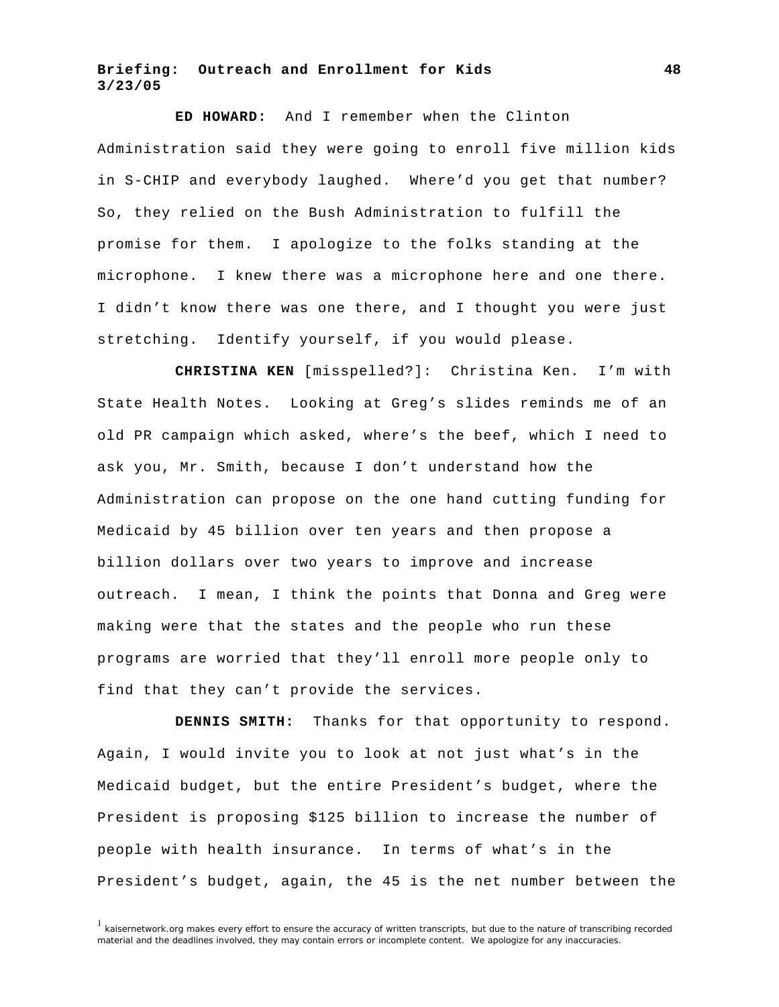**ED HOWARD:** And I remember when the Clinton Administration said they were going to enroll five million kids in S-CHIP and everybody laughed. Where'd you get that number? So, they relied on the Bush Administration to fulfill the promise for them. I apologize to the folks standing at the microphone. I knew there was a microphone here and one there. I didn't know there was one there, and I thought you were just stretching. Identify yourself, if you would please.

**CHRISTINA KEN** [misspelled?]: Christina Ken. I'm with State Health Notes. Looking at Greg's slides reminds me of an old PR campaign which asked, where's the beef, which I need to ask you, Mr. Smith, because I don't understand how the Administration can propose on the one hand cutting funding for Medicaid by 45 billion over ten years and then propose a billion dollars over two years to improve and increase outreach. I mean, I think the points that Donna and Greg were making were that the states and the people who run these programs are worried that they'll enroll more people only to find that they can't provide the services.

**DENNIS SMITH:** Thanks for that opportunity to respond. Again, I would invite you to look at not just what's in the Medicaid budget, but the entire President's budget, where the President is proposing \$125 billion to increase the number of people with health insurance. In terms of what's in the President's budget, again, the 45 is the net number between the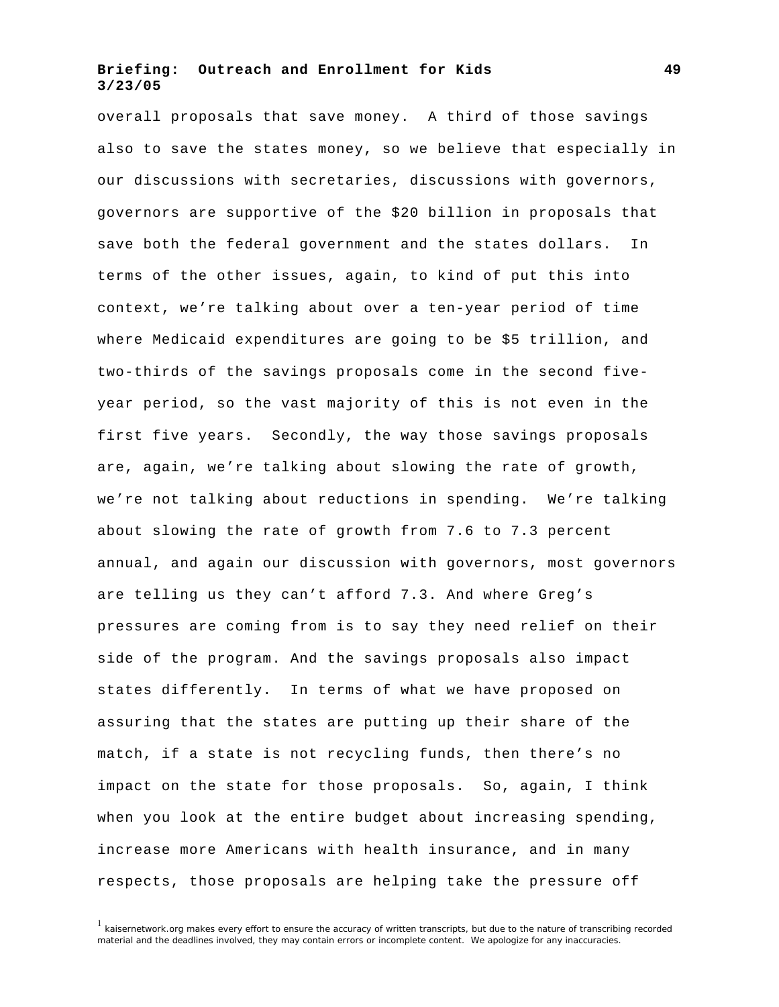overall proposals that save money. A third of those savings also to save the states money, so we believe that especially in our discussions with secretaries, discussions with governors, governors are supportive of the \$20 billion in proposals that save both the federal government and the states dollars. In terms of the other issues, again, to kind of put this into context, we're talking about over a ten-year period of time where Medicaid expenditures are going to be \$5 trillion, and two-thirds of the savings proposals come in the second fiveyear period, so the vast majority of this is not even in the first five years. Secondly, the way those savings proposals are, again, we're talking about slowing the rate of growth, we're not talking about reductions in spending. We're talking about slowing the rate of growth from 7.6 to 7.3 percent annual, and again our discussion with governors, most governors are telling us they can't afford 7.3. And where Greg's pressures are coming from is to say they need relief on their side of the program. And the savings proposals also impact states differently. In terms of what we have proposed on assuring that the states are putting up their share of the match, if a state is not recycling funds, then there's no impact on the state for those proposals. So, again, I think when you look at the entire budget about increasing spending, increase more Americans with health insurance, and in many respects, those proposals are helping take the pressure off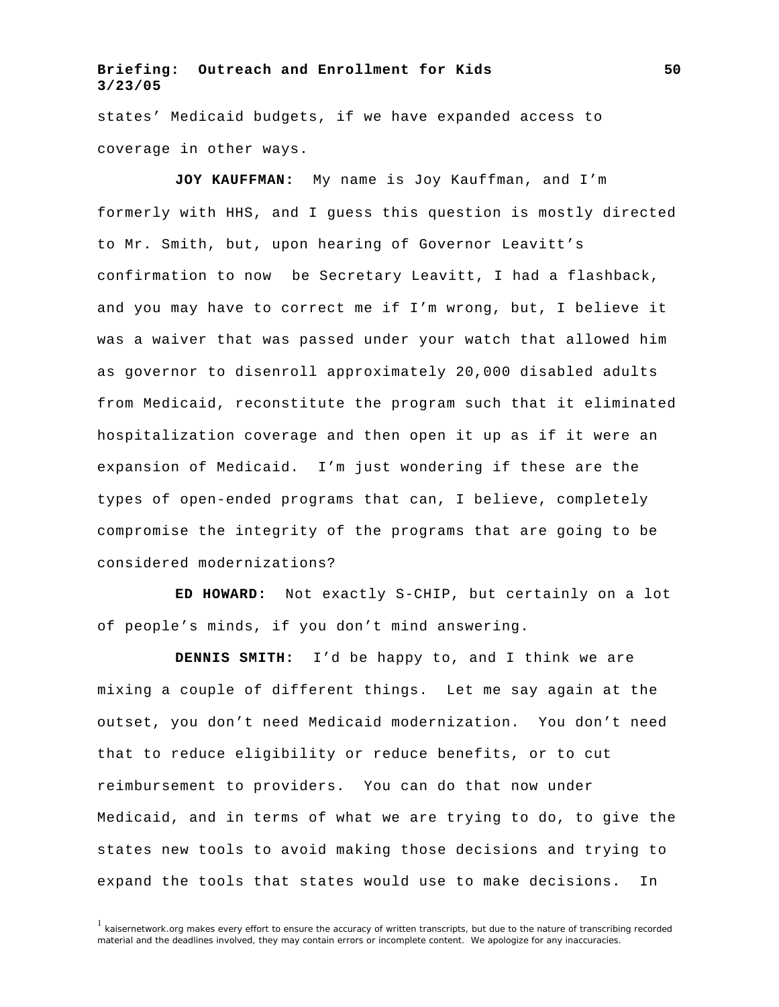states' Medicaid budgets, if we have expanded access to coverage in other ways.

**JOY KAUFFMAN:** My name is Joy Kauffman, and I'm formerly with HHS, and I guess this question is mostly directed to Mr. Smith, but, upon hearing of Governor Leavitt's confirmation to now be Secretary Leavitt, I had a flashback, and you may have to correct me if I'm wrong, but, I believe it was a waiver that was passed under your watch that allowed him as governor to disenroll approximately 20,000 disabled adults from Medicaid, reconstitute the program such that it eliminated hospitalization coverage and then open it up as if it were an expansion of Medicaid. I'm just wondering if these are the types of open-ended programs that can, I believe, completely compromise the integrity of the programs that are going to be considered modernizations?

**ED HOWARD:** Not exactly S-CHIP, but certainly on a lot of people's minds, if you don't mind answering.

**DENNIS SMITH:** I'd be happy to, and I think we are mixing a couple of different things. Let me say again at the outset, you don't need Medicaid modernization. You don't need that to reduce eligibility or reduce benefits, or to cut reimbursement to providers. You can do that now under Medicaid, and in terms of what we are trying to do, to give the states new tools to avoid making those decisions and trying to expand the tools that states would use to make decisions. In

 $<sup>1</sup>$  kaisernetwork.org makes every effort to ensure the accuracy of written transcripts, but due to the nature of transcribing recorded</sup> material and the deadlines involved, they may contain errors or incomplete content. We apologize for any inaccuracies.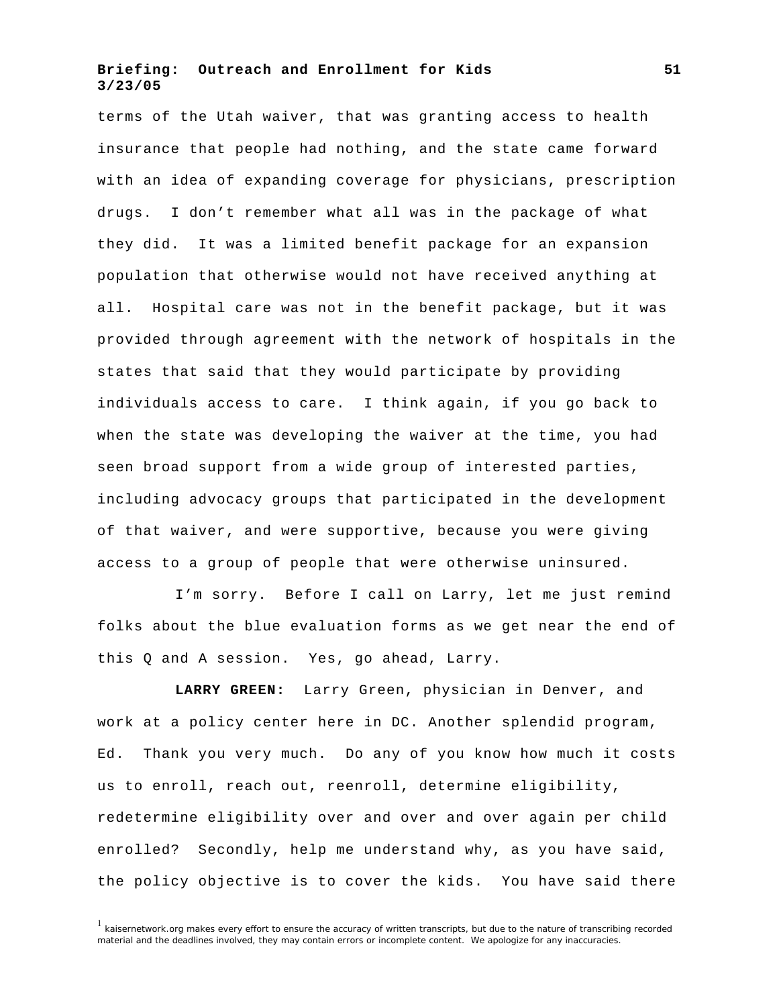terms of the Utah waiver, that was granting access to health insurance that people had nothing, and the state came forward with an idea of expanding coverage for physicians, prescription drugs. I don't remember what all was in the package of what they did. It was a limited benefit package for an expansion population that otherwise would not have received anything at all. Hospital care was not in the benefit package, but it was provided through agreement with the network of hospitals in the states that said that they would participate by providing individuals access to care. I think again, if you go back to when the state was developing the waiver at the time, you had seen broad support from a wide group of interested parties, including advocacy groups that participated in the development of that waiver, and were supportive, because you were giving access to a group of people that were otherwise uninsured.

I'm sorry. Before I call on Larry, let me just remind folks about the blue evaluation forms as we get near the end of this Q and A session. Yes, go ahead, Larry.

**LARRY GREEN:** Larry Green, physician in Denver, and work at a policy center here in DC. Another splendid program, Ed. Thank you very much. Do any of you know how much it costs us to enroll, reach out, reenroll, determine eligibility, redetermine eligibility over and over and over again per child enrolled? Secondly, help me understand why, as you have said, the policy objective is to cover the kids. You have said there

 $1$  kaisernetwork.org makes every effort to ensure the accuracy of written transcripts, but due to the nature of transcribing recorded material and the deadlines involved, they may contain errors or incomplete content. We apologize for any inaccuracies.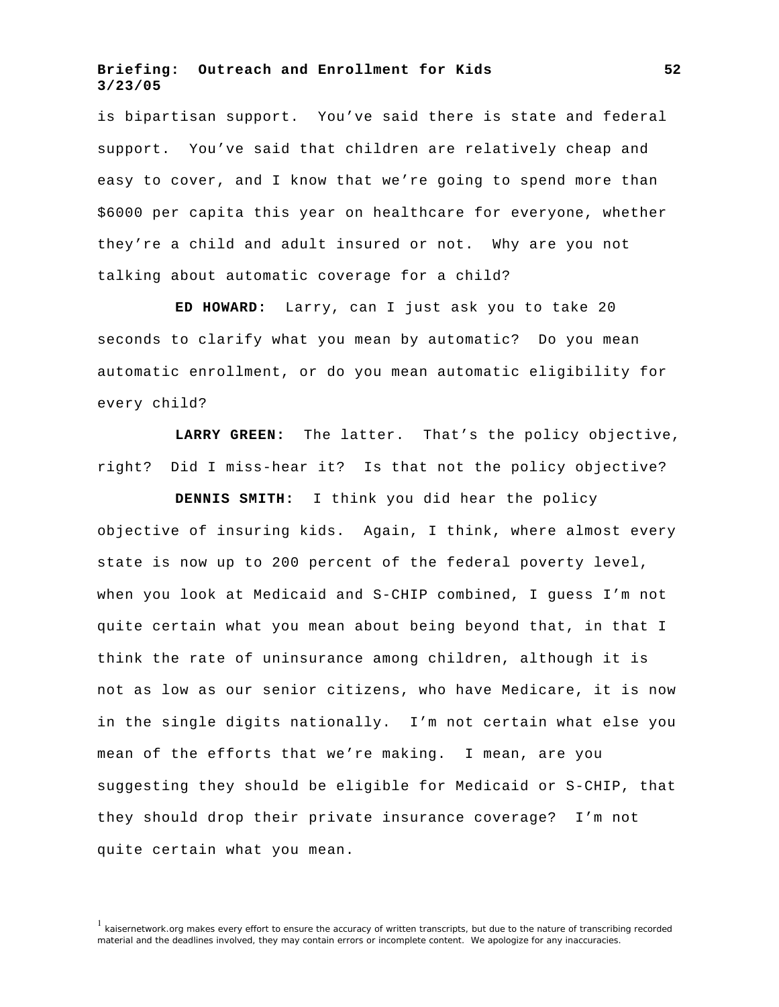is bipartisan support. You've said there is state and federal support. You've said that children are relatively cheap and easy to cover, and I know that we're going to spend more than \$6000 per capita this year on healthcare for everyone, whether they're a child and adult insured or not. Why are you not talking about automatic coverage for a child?

**ED HOWARD:** Larry, can I just ask you to take 20 seconds to clarify what you mean by automatic? Do you mean automatic enrollment, or do you mean automatic eligibility for every child?

**LARRY GREEN:** The latter. That's the policy objective, right? Did I miss-hear it? Is that not the policy objective?

**DENNIS SMITH:** I think you did hear the policy objective of insuring kids. Again, I think, where almost every state is now up to 200 percent of the federal poverty level, when you look at Medicaid and S-CHIP combined, I guess I'm not quite certain what you mean about being beyond that, in that I think the rate of uninsurance among children, although it is not as low as our senior citizens, who have Medicare, it is now in the single digits nationally. I'm not certain what else you mean of the efforts that we're making. I mean, are you suggesting they should be eligible for Medicaid or S-CHIP, that they should drop their private insurance coverage? I'm not quite certain what you mean.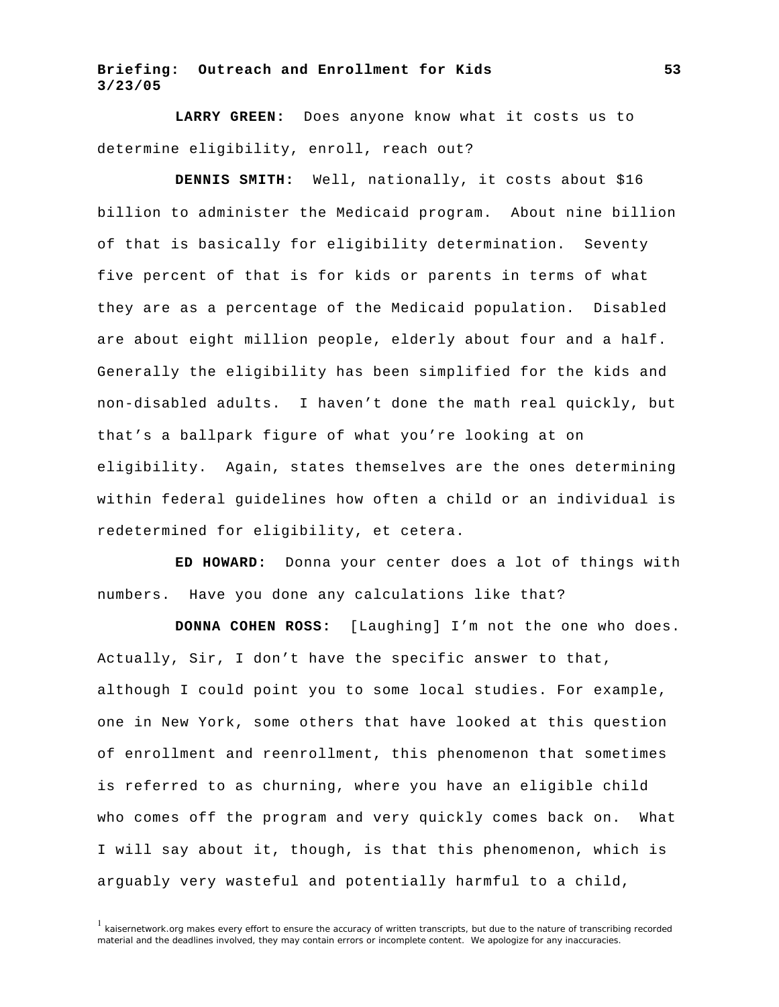**LARRY GREEN:** Does anyone know what it costs us to determine eligibility, enroll, reach out?

**DENNIS SMITH:** Well, nationally, it costs about \$16 billion to administer the Medicaid program. About nine billion of that is basically for eligibility determination. Seventy five percent of that is for kids or parents in terms of what they are as a percentage of the Medicaid population. Disabled are about eight million people, elderly about four and a half. Generally the eligibility has been simplified for the kids and non-disabled adults. I haven't done the math real quickly, but that's a ballpark figure of what you're looking at on eligibility. Again, states themselves are the ones determining within federal guidelines how often a child or an individual is redetermined for eligibility, et cetera.

**ED HOWARD:** Donna your center does a lot of things with numbers. Have you done any calculations like that?

**DONNA COHEN ROSS:** [Laughing] I'm not the one who does. Actually, Sir, I don't have the specific answer to that, although I could point you to some local studies. For example, one in New York, some others that have looked at this question of enrollment and reenrollment, this phenomenon that sometimes is referred to as churning, where you have an eligible child who comes off the program and very quickly comes back on. What I will say about it, though, is that this phenomenon, which is arguably very wasteful and potentially harmful to a child,

 $1$  kaisernetwork.org makes every effort to ensure the accuracy of written transcripts, but due to the nature of transcribing recorded material and the deadlines involved, they may contain errors or incomplete content. We apologize for any inaccuracies.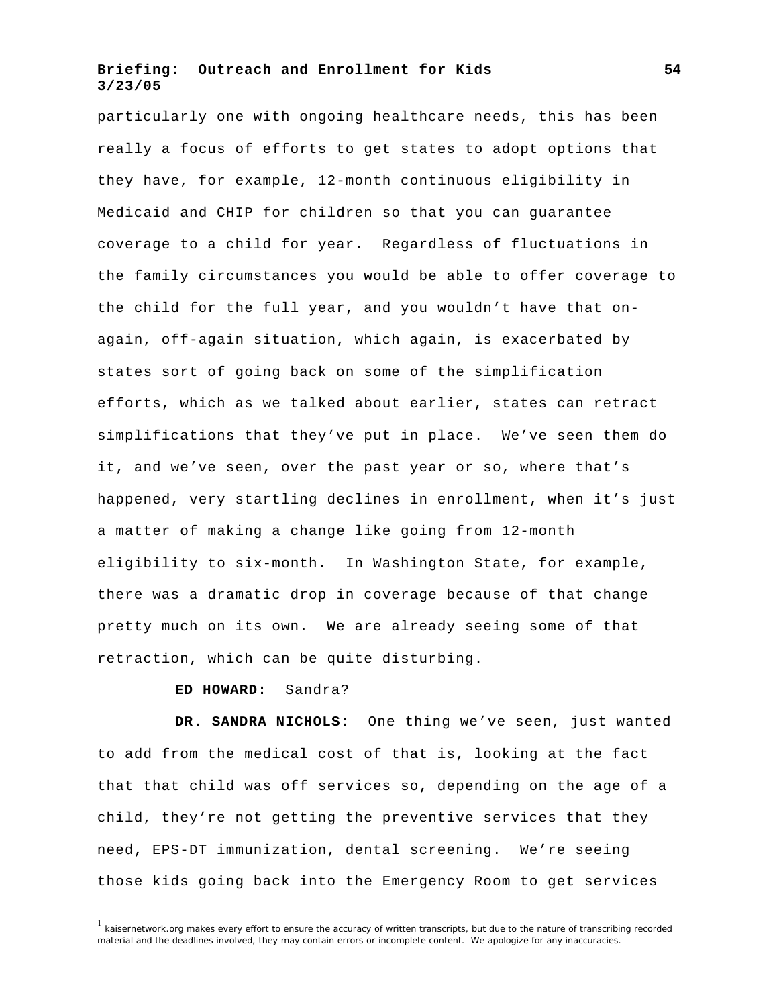particularly one with ongoing healthcare needs, this has been really a focus of efforts to get states to adopt options that they have, for example, 12-month continuous eligibility in Medicaid and CHIP for children so that you can guarantee coverage to a child for year. Regardless of fluctuations in the family circumstances you would be able to offer coverage to the child for the full year, and you wouldn't have that onagain, off-again situation, which again, is exacerbated by states sort of going back on some of the simplification efforts, which as we talked about earlier, states can retract simplifications that they've put in place. We've seen them do it, and we've seen, over the past year or so, where that's happened, very startling declines in enrollment, when it's just a matter of making a change like going from 12-month eligibility to six-month. In Washington State, for example, there was a dramatic drop in coverage because of that change pretty much on its own. We are already seeing some of that retraction, which can be quite disturbing.

#### **ED HOWARD:** Sandra?

**DR. SANDRA NICHOLS:** One thing we've seen, just wanted to add from the medical cost of that is, looking at the fact that that child was off services so, depending on the age of a child, they're not getting the preventive services that they need, EPS-DT immunization, dental screening. We're seeing those kids going back into the Emergency Room to get services

 $1$  kaisernetwork.org makes every effort to ensure the accuracy of written transcripts, but due to the nature of transcribing recorded material and the deadlines involved, they may contain errors or incomplete content. We apologize for any inaccuracies.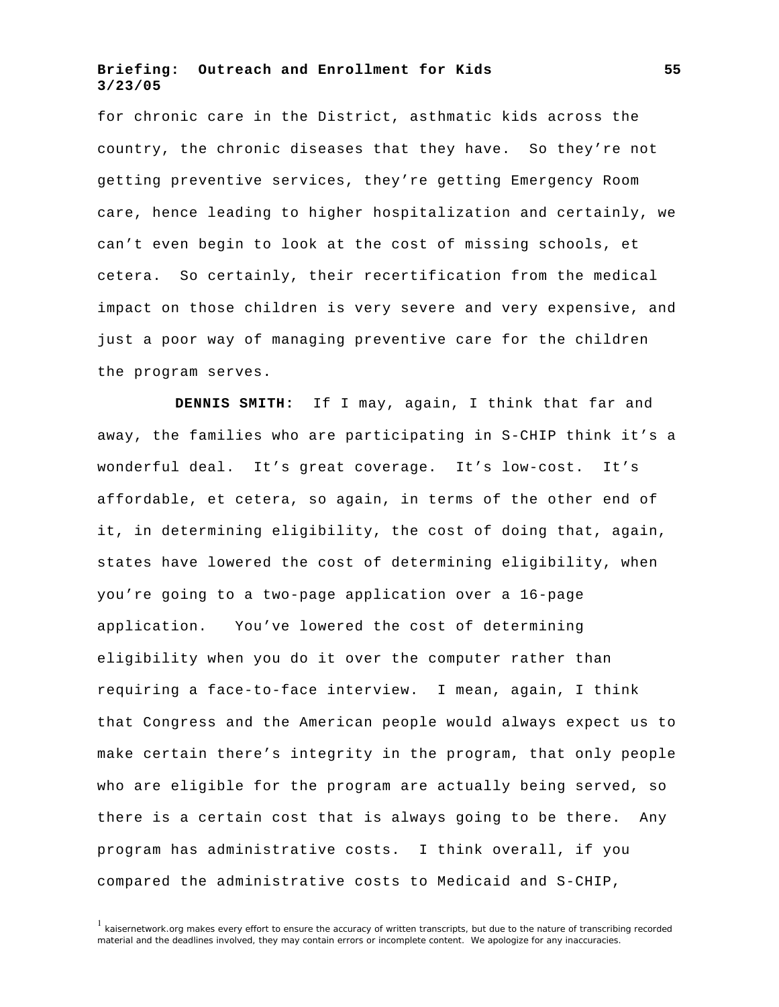for chronic care in the District, asthmatic kids across the country, the chronic diseases that they have. So they're not getting preventive services, they're getting Emergency Room care, hence leading to higher hospitalization and certainly, we can't even begin to look at the cost of missing schools, et cetera. So certainly, their recertification from the medical impact on those children is very severe and very expensive, and just a poor way of managing preventive care for the children the program serves.

**DENNIS SMITH:** If I may, again, I think that far and away, the families who are participating in S-CHIP think it's a wonderful deal. It's great coverage. It's low-cost. It's affordable, et cetera, so again, in terms of the other end of it, in determining eligibility, the cost of doing that, again, states have lowered the cost of determining eligibility, when you're going to a two-page application over a 16-page application. You've lowered the cost of determining eligibility when you do it over the computer rather than requiring a face-to-face interview. I mean, again, I think that Congress and the American people would always expect us to make certain there's integrity in the program, that only people who are eligible for the program are actually being served, so there is a certain cost that is always going to be there. Any program has administrative costs. I think overall, if you compared the administrative costs to Medicaid and S-CHIP,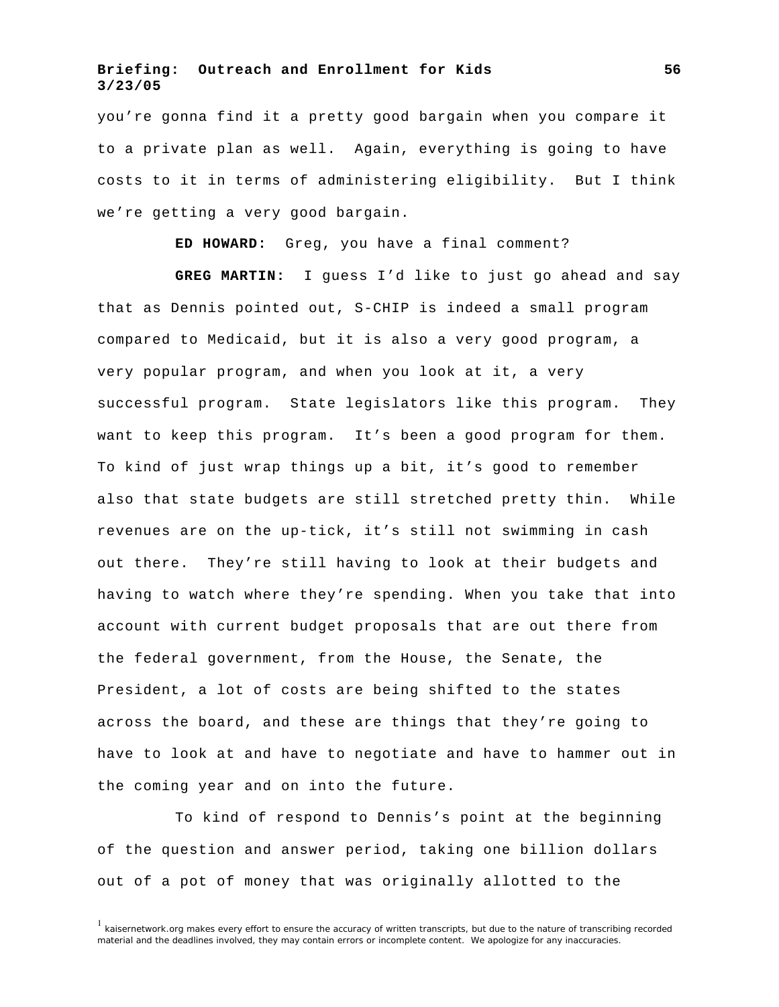you're gonna find it a pretty good bargain when you compare it to a private plan as well. Again, everything is going to have costs to it in terms of administering eligibility. But I think we're getting a very good bargain.

**ED HOWARD:** Greg, you have a final comment?

**GREG MARTIN:** I guess I'd like to just go ahead and say that as Dennis pointed out, S-CHIP is indeed a small program compared to Medicaid, but it is also a very good program, a very popular program, and when you look at it, a very successful program. State legislators like this program. They want to keep this program. It's been a good program for them. To kind of just wrap things up a bit, it's good to remember also that state budgets are still stretched pretty thin. While revenues are on the up-tick, it's still not swimming in cash out there. They're still having to look at their budgets and having to watch where they're spending. When you take that into account with current budget proposals that are out there from the federal government, from the House, the Senate, the President, a lot of costs are being shifted to the states across the board, and these are things that they're going to have to look at and have to negotiate and have to hammer out in the coming year and on into the future.

To kind of respond to Dennis's point at the beginning of the question and answer period, taking one billion dollars out of a pot of money that was originally allotted to the

 $1$  kaisernetwork.org makes every effort to ensure the accuracy of written transcripts, but due to the nature of transcribing recorded material and the deadlines involved, they may contain errors or incomplete content. We apologize for any inaccuracies.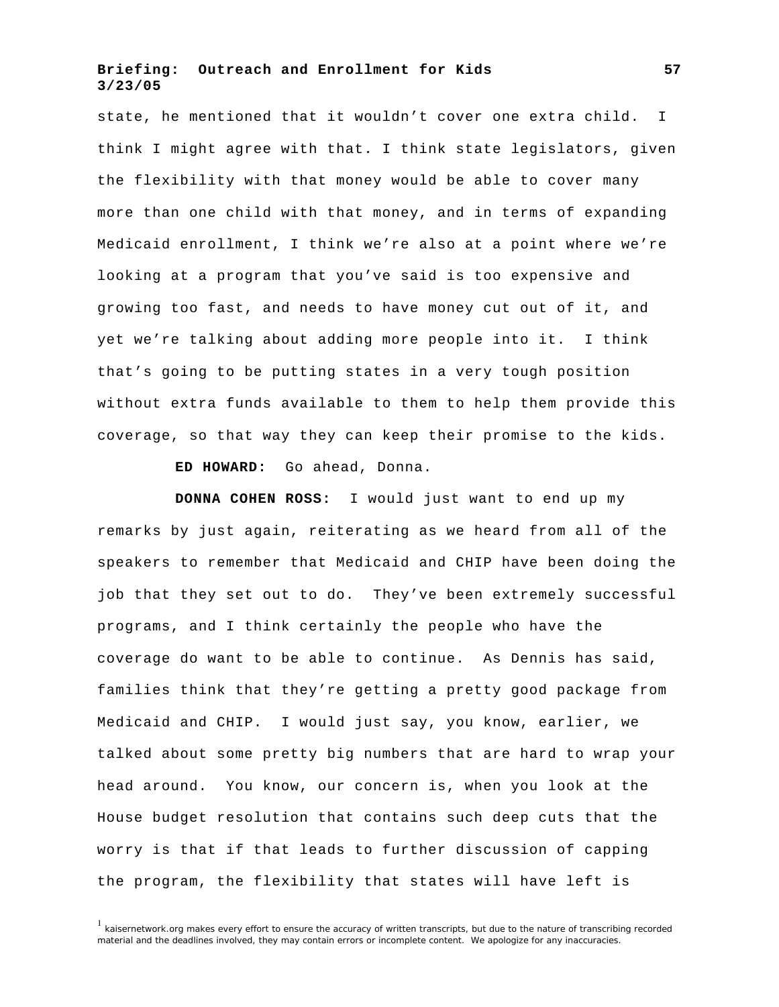state, he mentioned that it wouldn't cover one extra child. I think I might agree with that. I think state legislators, given the flexibility with that money would be able to cover many more than one child with that money, and in terms of expanding Medicaid enrollment, I think we're also at a point where we're looking at a program that you've said is too expensive and growing too fast, and needs to have money cut out of it, and yet we're talking about adding more people into it. I think that's going to be putting states in a very tough position without extra funds available to them to help them provide this coverage, so that way they can keep their promise to the kids.

**ED HOWARD:** Go ahead, Donna.

**DONNA COHEN ROSS:** I would just want to end up my remarks by just again, reiterating as we heard from all of the speakers to remember that Medicaid and CHIP have been doing the job that they set out to do. They've been extremely successful programs, and I think certainly the people who have the coverage do want to be able to continue. As Dennis has said, families think that they're getting a pretty good package from Medicaid and CHIP. I would just say, you know, earlier, we talked about some pretty big numbers that are hard to wrap your head around. You know, our concern is, when you look at the House budget resolution that contains such deep cuts that the worry is that if that leads to further discussion of capping the program, the flexibility that states will have left is

 $<sup>1</sup>$  kaisernetwork.org makes every effort to ensure the accuracy of written transcripts, but due to the nature of transcribing recorded</sup> material and the deadlines involved, they may contain errors or incomplete content. We apologize for any inaccuracies.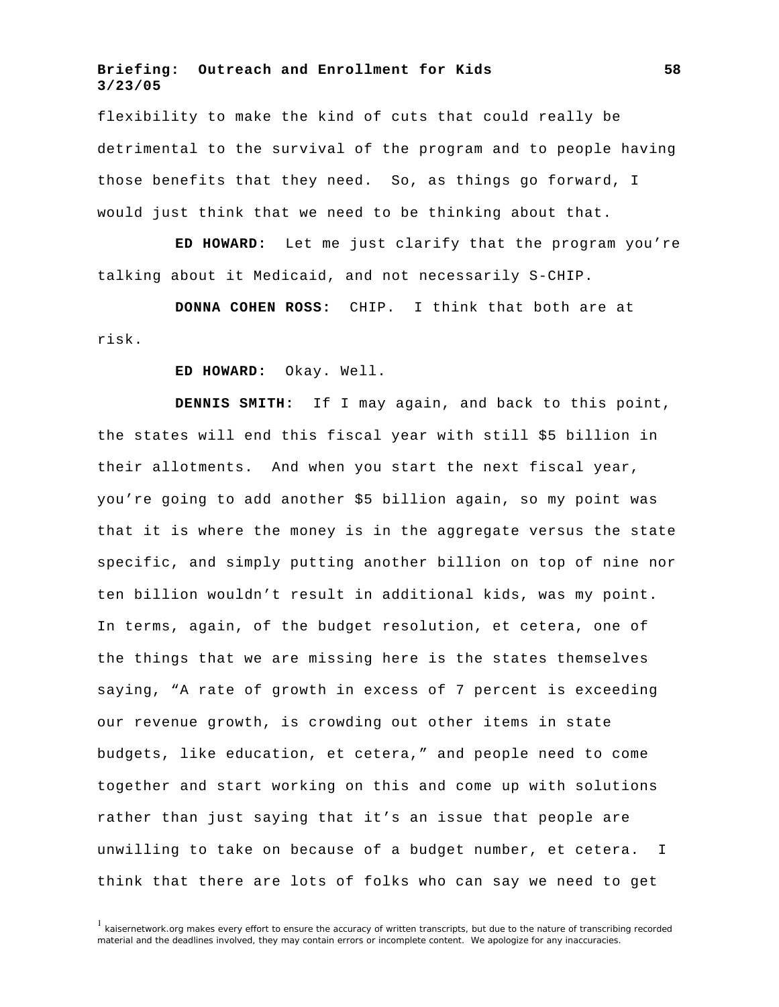flexibility to make the kind of cuts that could really be detrimental to the survival of the program and to people having those benefits that they need. So, as things go forward, I would just think that we need to be thinking about that.

**ED HOWARD:** Let me just clarify that the program you're talking about it Medicaid, and not necessarily S-CHIP.

**DONNA COHEN ROSS:** CHIP. I think that both are at risk.

**ED HOWARD:** Okay. Well.

**DENNIS SMITH:** If I may again, and back to this point, the states will end this fiscal year with still \$5 billion in their allotments. And when you start the next fiscal year, you're going to add another \$5 billion again, so my point was that it is where the money is in the aggregate versus the state specific, and simply putting another billion on top of nine nor ten billion wouldn't result in additional kids, was my point. In terms, again, of the budget resolution, et cetera, one of the things that we are missing here is the states themselves saying, "A rate of growth in excess of 7 percent is exceeding our revenue growth, is crowding out other items in state budgets, like education, et cetera," and people need to come together and start working on this and come up with solutions rather than just saying that it's an issue that people are unwilling to take on because of a budget number, et cetera. I think that there are lots of folks who can say we need to get

 $1$  kaisernetwork.org makes every effort to ensure the accuracy of written transcripts, but due to the nature of transcribing recorded material and the deadlines involved, they may contain errors or incomplete content. We apologize for any inaccuracies.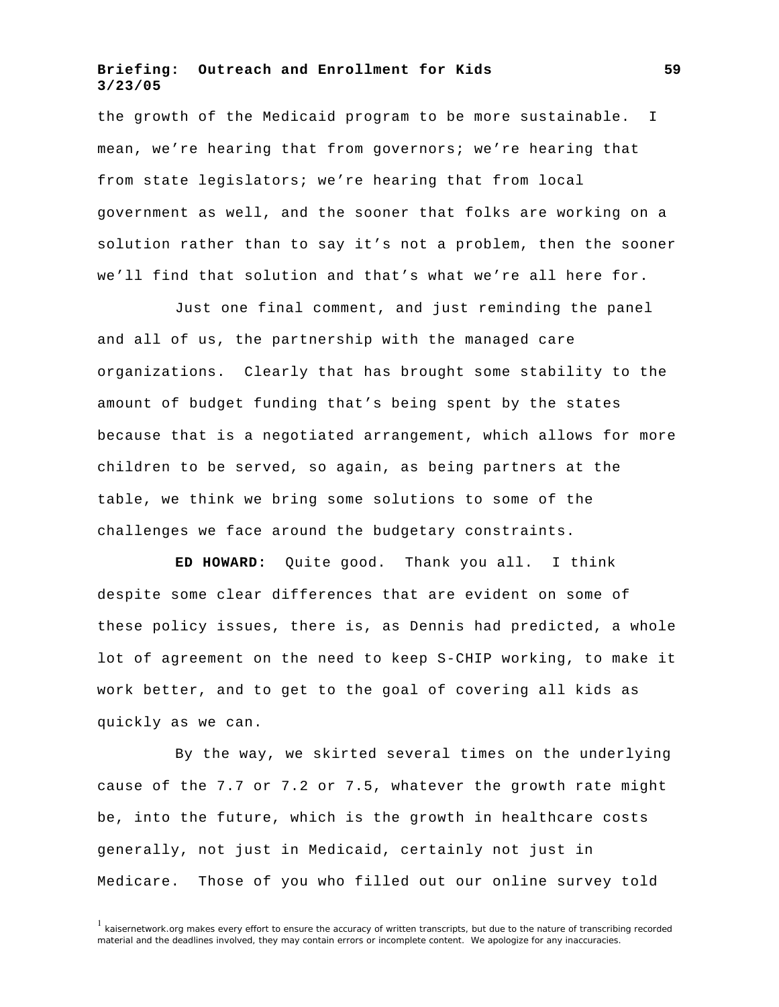the growth of the Medicaid program to be more sustainable. I mean, we're hearing that from governors; we're hearing that from state legislators; we're hearing that from local government as well, and the sooner that folks are working on a solution rather than to say it's not a problem, then the sooner we'll find that solution and that's what we're all here for.

Just one final comment, and just reminding the panel and all of us, the partnership with the managed care organizations. Clearly that has brought some stability to the amount of budget funding that's being spent by the states because that is a negotiated arrangement, which allows for more children to be served, so again, as being partners at the table, we think we bring some solutions to some of the challenges we face around the budgetary constraints.

**ED HOWARD:** Quite good. Thank you all. I think despite some clear differences that are evident on some of these policy issues, there is, as Dennis had predicted, a whole lot of agreement on the need to keep S-CHIP working, to make it work better, and to get to the goal of covering all kids as quickly as we can.

By the way, we skirted several times on the underlying cause of the 7.7 or 7.2 or 7.5, whatever the growth rate might be, into the future, which is the growth in healthcare costs generally, not just in Medicaid, certainly not just in Medicare. Those of you who filled out our online survey told

 $1$  kaisernetwork.org makes every effort to ensure the accuracy of written transcripts, but due to the nature of transcribing recorded material and the deadlines involved, they may contain errors or incomplete content. We apologize for any inaccuracies.